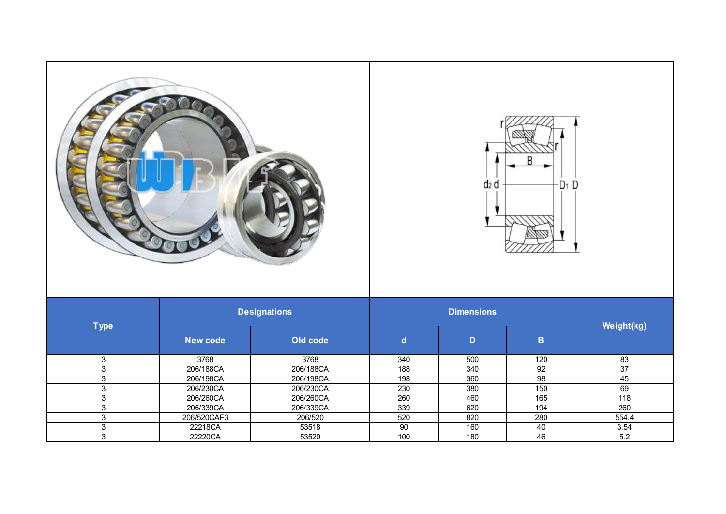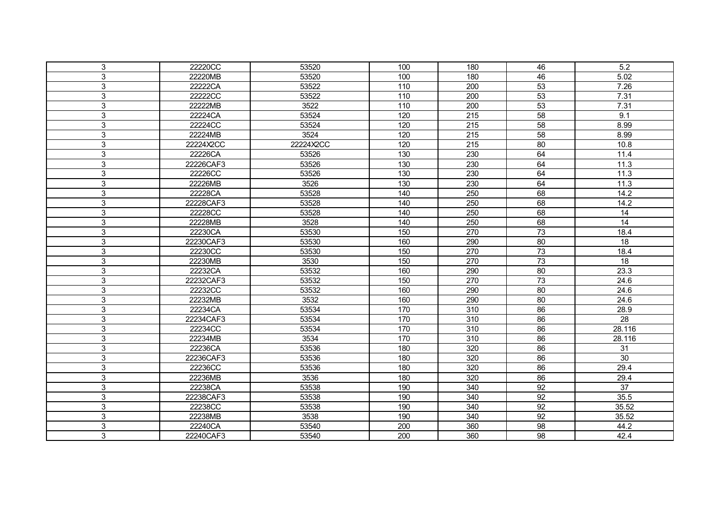| 3              | 22220CC   | 53520     | 100 | 180 | 46              | 5.2             |  |
|----------------|-----------|-----------|-----|-----|-----------------|-----------------|--|
| 3              | 22220MB   | 53520     | 100 | 180 | 46              | 5.02            |  |
| 3              | 22222CA   | 53522     | 110 | 200 | 53              | 7.26            |  |
| 3              | 22222CC   | 53522     | 110 | 200 | 53              | 7.31            |  |
| 3              | 22222MB   | 3522      | 110 | 200 | 53              | 7.31            |  |
| 3              | 22224CA   | 53524     | 120 | 215 | 58              | 9.1             |  |
| 3              | 22224CC   | 53524     | 120 | 215 | 58              | 8.99            |  |
| 3              | 22224MB   | 3524      | 120 | 215 | 58              | 8.99            |  |
| 3              | 22224X2CC | 22224X2CC | 120 | 215 | 80              | 10.8            |  |
| 3              | 22226CA   | 53526     | 130 | 230 | 64              | 11.4            |  |
| 3              | 22226CAF3 | 53526     | 130 | 230 | 64              | 11.3            |  |
| 3              | 22226CC   | 53526     | 130 | 230 | 64              | 11.3            |  |
| 3              | 22226MB   | 3526      | 130 | 230 | 64              | 11.3            |  |
| 3              | 22228CA   | 53528     | 140 | 250 | 68              | 14.2            |  |
| 3              | 22228CAF3 | 53528     | 140 | 250 | 68              | 14.2            |  |
| 3              | 22228CC   | 53528     | 140 | 250 | 68              | $\overline{14}$ |  |
| $\mathfrak{S}$ | 22228MB   | 3528      | 140 | 250 | 68              | $\overline{14}$ |  |
| 3              | 22230CA   | 53530     | 150 | 270 | 73              | 18.4            |  |
| 3              | 22230CAF3 | 53530     | 160 | 290 | 80              | 18              |  |
| 3              | 22230CC   | 53530     | 150 | 270 | 73              | 18.4            |  |
| 3              | 22230MB   | 3530      | 150 | 270 | 73              | 18              |  |
| $\mathfrak{S}$ | 22232CA   | 53532     | 160 | 290 | 80              | 23.3            |  |
| $\overline{3}$ | 22232CAF3 | 53532     | 150 | 270 | 73              | 24.6            |  |
| 3              | 22232CC   | 53532     | 160 | 290 | 80              | 24.6            |  |
| 3              | 22232MB   | 3532      | 160 | 290 | 80              | 24.6            |  |
| $\overline{3}$ | 22234CA   | 53534     | 170 | 310 | 86              | 28.9            |  |
| 3              | 22234CAF3 | 53534     | 170 | 310 | 86              | 28              |  |
| 3              | 22234CC   | 53534     | 170 | 310 | 86              | 28.116          |  |
| 3              | 22234MB   | 3534      | 170 | 310 | 86              | 28.116          |  |
| 3              | 22236CA   | 53536     | 180 | 320 | 86              | 31              |  |
| 3              | 22236CAF3 | 53536     | 180 | 320 | 86              | 30              |  |
| 3              | 22236CC   | 53536     | 180 | 320 | 86              | 29.4            |  |
| 3              | 22236MB   | 3536      | 180 | 320 | 86              | 29.4            |  |
| $\mathsf 3$    | 22238CA   | 53538     | 190 | 340 | 92              | $\overline{37}$ |  |
| $\mathfrak{S}$ | 22238CAF3 | 53538     | 190 | 340 | $\overline{92}$ | 35.5            |  |
| 3              | 22238CC   | 53538     | 190 | 340 | 92              | 35.52           |  |
| 3              | 22238MB   | 3538      | 190 | 340 | 92              | 35.52           |  |
| 3              | 22240CA   | 53540     | 200 | 360 | 98              | 44.2            |  |
| 3              | 22240CAF3 | 53540     | 200 | 360 | 98              | 42.4            |  |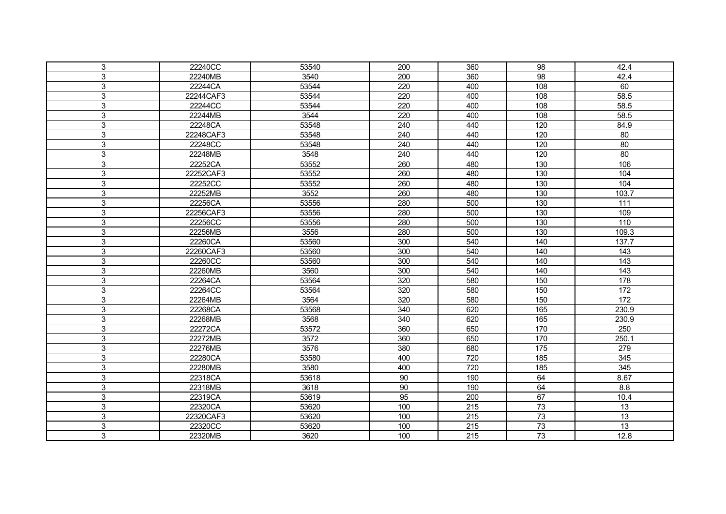| 3              | 22240CC   | 53540 | 200             | 360              | 98  | 42.4             |
|----------------|-----------|-------|-----------------|------------------|-----|------------------|
| 3              | 22240MB   | 3540  | 200             | 360              | 98  | 42.4             |
| 3              | 22244CA   | 53544 | 220             | 400              | 108 | 60               |
| $\mathfrak{S}$ | 22244CAF3 | 53544 | 220             | 400              | 108 | 58.5             |
| 3              | 22244CC   | 53544 | 220             | 400              | 108 | 58.5             |
| 3              | 22244MB   | 3544  | 220             | 400              | 108 | 58.5             |
| 3              | 22248CA   | 53548 | 240             | 440              | 120 | 84.9             |
| 3              | 22248CAF3 | 53548 | 240             | 440              | 120 | 80               |
| 3              | 22248CC   | 53548 | 240             | 440              | 120 | 80               |
| $\mathbf{3}$   | 22248MB   | 3548  | 240             | 440              | 120 | 80               |
| $\mathfrak{S}$ | 22252CA   | 53552 | 260             | 480              | 130 | 106              |
| $\mathfrak{S}$ | 22252CAF3 | 53552 | 260             | 480              | 130 | 104              |
| $\mathfrak{S}$ | 22252CC   | 53552 | 260             | 480              | 130 | 104              |
| $\mathsf 3$    | 22252MB   | 3552  | 260             | 480              | 130 | 103.7            |
| 3              | 22256CA   | 53556 | 280             | 500              | 130 | 111              |
| 3              | 22256CAF3 | 53556 | 280             | 500              | 130 | 109              |
| $\mathfrak{S}$ | 22256CC   | 53556 | 280             | 500              | 130 | 110              |
| 3              | 22256MB   | 3556  | 280             | 500              | 130 | 109.3            |
| 3              | 22260CA   | 53560 | 300             | 540              | 140 | 137.7            |
| $\mathsf 3$    | 22260CAF3 | 53560 | 300             | 540              | 140 | $\frac{1}{43}$   |
| 3              | 22260CC   | 53560 | 300             | 540              | 140 | 143              |
| $\mathfrak{S}$ | 22260MB   | 3560  | 300             | 540              | 140 | $\frac{1}{143}$  |
| $\overline{3}$ | 22264CA   | 53564 | 320             | 580              | 150 | 178              |
| 3              | 22264CC   | 53564 | 320             | 580              | 150 | 172              |
| $\mathsf 3$    | 22264MB   | 3564  | 320             | 580              | 150 | $\frac{1}{172}$  |
| $\overline{3}$ | 22268CA   | 53568 | 340             | 620              | 165 | 230.9            |
| 3              | 22268MB   | 3568  | 340             | 620              | 165 | 230.9            |
| $\mathsf 3$    | 22272CA   | 53572 | 360             | 650              | 170 | 250              |
| $\mathfrak{S}$ | 22272MB   | 3572  | 360             | 650              | 170 | 250.1            |
| 3              | 22276MB   | 3576  | 380             | 680              | 175 | 279              |
| 3              | 22280CA   | 53580 | 400             | 720              | 185 | $\overline{345}$ |
| 3              | 22280MB   | 3580  | 400             | 720              | 185 | 345              |
| 3              | 22318CA   | 53618 | 90              | 190              | 64  | 8.67             |
| $\mathsf 3$    | 22318MB   | 3618  | 90              | 190              | 64  | 8.8              |
| $\mathfrak{S}$ | 22319CA   | 53619 | $\overline{95}$ | 200              | 67  | 10.4             |
| 3              | 22320CA   | 53620 | 100             | 215              | 73  | 13               |
| $\mathsf 3$    | 22320CAF3 | 53620 | 100             | 215              | 73  | $\overline{13}$  |
| $\mathfrak{S}$ | 22320CC   | 53620 | 100             | 215              | 73  | 13               |
| 3              | 22320MB   | 3620  | 100             | $\overline{215}$ | 73  | 12.8             |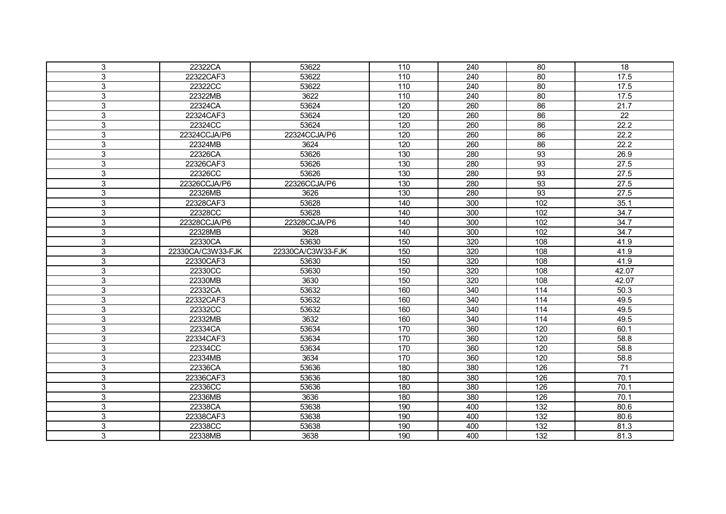| 3 | 22322CA           | 53622             | 110 | 240 | 80  | 18                |
|---|-------------------|-------------------|-----|-----|-----|-------------------|
| 3 | 22322CAF3         | 53622             | 110 | 240 | 80  | 17.5              |
| 3 | 22322CC           | 53622             | 110 | 240 | 80  | 17.5              |
| 3 | 22322MB           | 3622              | 110 | 240 | 80  | 17.5              |
| 3 | 22324CA           | 53624             | 120 | 260 | 86  | $\overline{21.7}$ |
| 3 | 22324CAF3         | 53624             | 120 | 260 | 86  | 22                |
| 3 | 22324CC           | 53624             | 120 | 260 | 86  | 22.2              |
| 3 | 22324CCJA/P6      | 22324CCJA/P6      | 120 | 260 | 86  | 22.2              |
| 3 | 22324MB           | 3624              | 120 | 260 | 86  | 22.2              |
| 3 | 22326CA           | 53626             | 130 | 280 | 93  | 26.9              |
| 3 | 22326CAF3         | 53626             | 130 | 280 | 93  | 27.5              |
| 3 | 22326CC           | 53626             | 130 | 280 | 93  | 27.5              |
| 3 | 22326CCJA/P6      | 22326CCJA/P6      | 130 | 280 | 93  | 27.5              |
| 3 | 22326MB           | 3626              | 130 | 280 | 93  | 27.5              |
| 3 | 22328CAF3         | 53628             | 140 | 300 | 102 | 35.1              |
| 3 | 22328CC           | 53628             | 140 | 300 | 102 | 34.7              |
| 3 | 22328CCJA/P6      | 22328CCJA/P6      | 140 | 300 | 102 | 34.7              |
| 3 | 22328MB           | 3628              | 140 | 300 | 102 | 34.7              |
| 3 | 22330CA           | 53630             | 150 | 320 | 108 | 41.9              |
| 3 | 22330CA/C3W33-FJK | 22330CA/C3W33-FJK | 150 | 320 | 108 | 41.9              |
| 3 | 22330CAF3         | 53630             | 150 | 320 | 108 | 41.9              |
| 3 | 22330CC           | 53630             | 150 | 320 | 108 | 42.07             |
| 3 | 22330MB           | 3630              | 150 | 320 | 108 | 42.07             |
| 3 | 22332CA           | 53632             | 160 | 340 | 114 | 50.3              |
| 3 | 22332CAF3         | 53632             | 160 | 340 | 114 | 49.5              |
| 3 | 22332CC           | 53632             | 160 | 340 | 114 | 49.5              |
| 3 | 22332MB           | 3632              | 160 | 340 | 114 | 49.5              |
| 3 | 22334CA           | 53634             | 170 | 360 | 120 | 60.1              |
| 3 | 22334CAF3         | 53634             | 170 | 360 | 120 | 58.8              |
| 3 | 22334CC           | 53634             | 170 | 360 | 120 | 58.8              |
| 3 | 22334MB           | 3634              | 170 | 360 | 120 | 58.8              |
| 3 | 22336CA           | 53636             | 180 | 380 | 126 | 71                |
| 3 | 22336CAF3         | 53636             | 180 | 380 | 126 | 70.1              |
| 3 | 22336CC           | 53636             | 180 | 380 | 126 | 70.1              |
| 3 | 22336MB           | 3636              | 180 | 380 | 126 | 70.1              |
| 3 | 22338CA           | 53638             | 190 | 400 | 132 | 80.6              |
| 3 | 22338CAF3         | 53638             | 190 | 400 | 132 | 80.6              |
| 3 | 22338CC           | 53638             | 190 | 400 | 132 | 81.3              |
| 3 | 22338MB           | 3638              | 190 | 400 | 132 | 81.3              |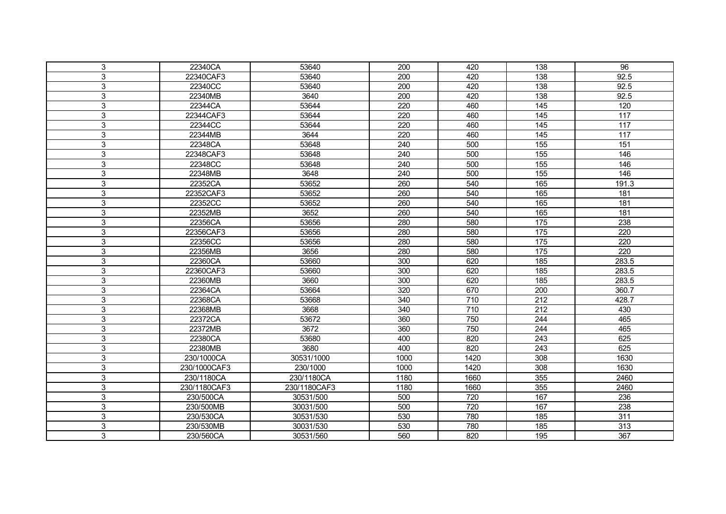| 3<br>22340CA<br>53640<br>200<br>420<br>138<br>3<br>22340CAF3<br>53640<br>200<br>420<br>138<br>3<br>22340CC<br>53640<br>200<br>420<br>138<br>3640<br>3<br>22340MB<br>200<br>420<br>138<br>3<br>53644<br>220<br>460<br>145<br>22344CA<br>3<br>53644<br>460<br>22344CAF3<br>220<br>145 | 96<br>92.5<br>92.5<br>92.5 |
|-------------------------------------------------------------------------------------------------------------------------------------------------------------------------------------------------------------------------------------------------------------------------------------|----------------------------|
|                                                                                                                                                                                                                                                                                     |                            |
|                                                                                                                                                                                                                                                                                     |                            |
|                                                                                                                                                                                                                                                                                     |                            |
|                                                                                                                                                                                                                                                                                     |                            |
|                                                                                                                                                                                                                                                                                     | 120                        |
|                                                                                                                                                                                                                                                                                     | 117                        |
| 3<br>22344CC<br>53644<br>220<br>460<br>145                                                                                                                                                                                                                                          | 117                        |
| 3<br>3644<br>22344MB<br>220<br>460<br>145                                                                                                                                                                                                                                           | 117                        |
| 3<br>22348CA<br>53648<br>240<br>500<br>155                                                                                                                                                                                                                                          | 151                        |
| 3<br>22348CAF3<br>53648<br>240<br>500<br>155                                                                                                                                                                                                                                        | 146                        |
| 3<br>155<br>22348CC<br>53648<br>240<br>500                                                                                                                                                                                                                                          | 146                        |
| 3<br>3648<br>155<br>22348MB<br>240<br>500                                                                                                                                                                                                                                           | 146                        |
| 3<br>53652<br>22352CA<br>260<br>540<br>165                                                                                                                                                                                                                                          | 191.3                      |
| 3<br>53652<br>22352CAF3<br>260<br>540<br>165                                                                                                                                                                                                                                        | 181                        |
| 3<br>22352CC<br>53652<br>260<br>540<br>165                                                                                                                                                                                                                                          | 181                        |
| 3652<br>3<br>22352MB<br>260<br>540<br>165                                                                                                                                                                                                                                           | 181                        |
| 3<br>22356CA<br>53656<br>280<br>580<br>175                                                                                                                                                                                                                                          | 238                        |
| 3<br>53656<br>580<br>22356CAF3<br>280<br>175                                                                                                                                                                                                                                        | 220                        |
| 3<br>22356CC<br>53656<br>280<br>580<br>175                                                                                                                                                                                                                                          | 220                        |
| 3<br>22356MB<br>580<br>3656<br>280<br>175                                                                                                                                                                                                                                           | 220                        |
| 3<br>22360CA<br>53660<br>300<br>620<br>185                                                                                                                                                                                                                                          | 283.5                      |
| 3<br>53660<br>185<br>22360CAF3<br>300<br>620                                                                                                                                                                                                                                        | 283.5                      |
| 3<br>3660<br>300<br>620<br>185<br>22360MB                                                                                                                                                                                                                                           | 283.5                      |
| 3<br>22364CA<br>53664<br>320<br>670<br>200                                                                                                                                                                                                                                          | 360.7                      |
| 3<br>710<br>22368CA<br>53668<br>340<br>212                                                                                                                                                                                                                                          | 428.7                      |
| 3<br>22368MB<br>3668<br>710<br>212<br>340                                                                                                                                                                                                                                           | 430                        |
| 3<br>22372CA<br>53672<br>360<br>750<br>244                                                                                                                                                                                                                                          | 465                        |
| 3<br>3672<br>360<br>750<br>244<br>22372MB                                                                                                                                                                                                                                           | 465                        |
| 3<br>53680<br>22380CA<br>400<br>820<br>243                                                                                                                                                                                                                                          | 625                        |
| 3<br>22380MB<br>3680<br>820<br>243<br>400                                                                                                                                                                                                                                           | 625                        |
| 3<br>30531/1000<br>1000<br>1420<br>308<br>230/1000CA                                                                                                                                                                                                                                | 1630                       |
| 3<br>230/1000CAF3<br>230/1000<br>1000<br>1420<br>308                                                                                                                                                                                                                                | 1630                       |
| 3<br>1180<br>1660<br>355<br>230/1180CA<br>230/1180CA                                                                                                                                                                                                                                | 2460                       |
| 3<br>355<br>1180<br>1660<br>230/1180CAF3<br>230/1180CAF3                                                                                                                                                                                                                            | 2460                       |
| 3<br>167<br>500<br>720<br>230/500CA<br>30531/500                                                                                                                                                                                                                                    | 236                        |
| 3<br>30031/500<br>500<br>720<br>167<br>230/500MB                                                                                                                                                                                                                                    | 238                        |
| 3<br>230/530CA<br>30531/530<br>530<br>780<br>185                                                                                                                                                                                                                                    | 311                        |
| 3<br>530<br>780<br>230/530MB<br>30031/530<br>185                                                                                                                                                                                                                                    | 313                        |
| 3<br>820<br>230/560CA<br>30531/560<br>560<br>195                                                                                                                                                                                                                                    | 367                        |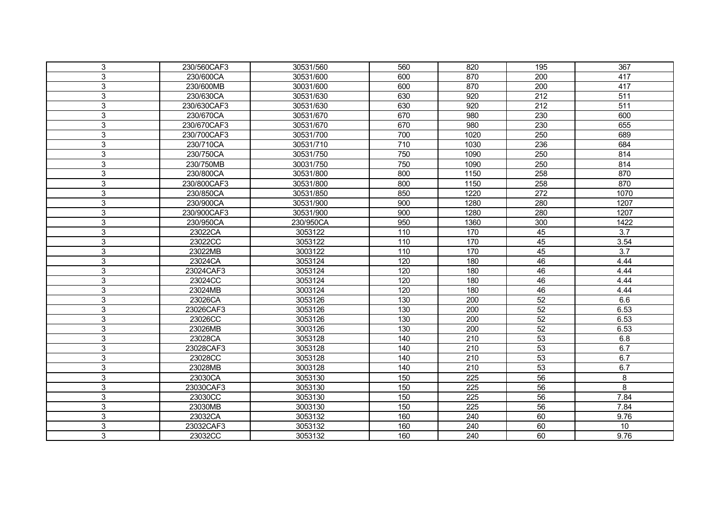| 3 | 230/560CAF3 | 30531/560 | 560 | 820              | 195              | 367              |
|---|-------------|-----------|-----|------------------|------------------|------------------|
| 3 | 230/600CA   | 30531/600 | 600 | 870              | 200              | 417              |
| 3 | 230/600MB   | 30031/600 | 600 | 870              | $\overline{200}$ | 417              |
| 3 | 230/630CA   | 30531/630 | 630 | 920              | 212              | $\overline{511}$ |
| 3 | 230/630CAF3 | 30531/630 | 630 | $\overline{920}$ | $\overline{212}$ | $\overline{511}$ |
| 3 | 230/670CA   | 30531/670 | 670 | 980              | 230              | 600              |
| 3 | 230/670CAF3 | 30531/670 | 670 | 980              | 230              | 655              |
| 3 | 230/700CAF3 | 30531/700 | 700 | 1020             | 250              | 689              |
| 3 | 230/710CA   | 30531/710 | 710 | 1030             | 236              | 684              |
| 3 | 230/750CA   | 30531/750 | 750 | 1090             | 250              | 814              |
| 3 | 230/750MB   | 30031/750 | 750 | 1090             | 250              | 814              |
| 3 | 230/800CA   | 30531/800 | 800 | 1150             | 258              | 870              |
| 3 | 230/800CAF3 | 30531/800 | 800 | 1150             | 258              | 870              |
| 3 | 230/850CA   | 30531/850 | 850 | 1220             | 272              | 1070             |
| 3 | 230/900CA   | 30531/900 | 900 | 1280             | 280              | 1207             |
| 3 | 230/900CAF3 | 30531/900 | 900 | 1280             | 280              | 1207             |
| 3 | 230/950CA   | 230/950CA | 950 | 1360             | 300              | 1422             |
| 3 | 23022CA     | 3053122   | 110 | 170              | 45               | $\overline{3.7}$ |
| 3 | 23022CC     | 3053122   | 110 | 170              | 45               | 3.54             |
| 3 | 23022MB     | 3003122   | 110 | 170              | 45               | $\overline{3.7}$ |
| 3 | 23024CA     | 3053124   | 120 | 180              | 46               | 4.44             |
| 3 | 23024CAF3   | 3053124   | 120 | 180              | 46               | 4.44             |
| 3 | 23024CC     | 3053124   | 120 | 180              | 46               | 4.44             |
| 3 | 23024MB     | 3003124   | 120 | 180              | 46               | 4.44             |
| 3 | 23026CA     | 3053126   | 130 | $\overline{200}$ | 52               | 6.6              |
| 3 | 23026CAF3   | 3053126   | 130 | 200              | 52               | 6.53             |
| 3 | 23026CC     | 3053126   | 130 | $\overline{200}$ | 52               | 6.53             |
| 3 | 23026MB     | 3003126   | 130 | 200              | 52               | 6.53             |
| 3 | 23028CA     | 3053128   | 140 | 210              | 53               | 6.8              |
| 3 | 23028CAF3   | 3053128   | 140 | 210              | 53               | 6.7              |
| 3 | 23028CC     | 3053128   | 140 | 210              | 53               | 6.7              |
| 3 | 23028MB     | 3003128   | 140 | 210              | 53               | 6.7              |
| 3 | 23030CA     | 3053130   | 150 | 225              | 56               | 8                |
| 3 | 23030CAF3   | 3053130   | 150 | 225              | 56               | 8                |
| 3 | 23030CC     | 3053130   | 150 | $\overline{225}$ | $\overline{56}$  | 7.84             |
| 3 | 23030MB     | 3003130   | 150 | 225              | 56               | 7.84             |
| 3 | 23032CA     | 3053132   | 160 | 240              | 60               | 9.76             |
| 3 | 23032CAF3   | 3053132   | 160 | 240              | 60               | 10               |
| 3 | 23032CC     | 3053132   | 160 | 240              | 60               | 9.76             |
|   |             |           |     |                  |                  |                  |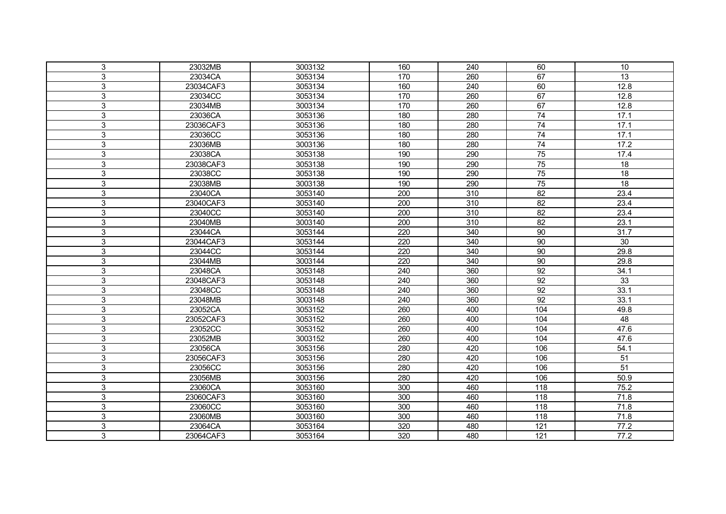| 3              | 23032MB   | 3003132 | 160 | 240 | 60              | 10                |
|----------------|-----------|---------|-----|-----|-----------------|-------------------|
| 3              | 23034CA   | 3053134 | 170 | 260 | 67              | 13                |
| 3              | 23034CAF3 | 3053134 | 160 | 240 | 60              | 12.8              |
| 3              | 23034CC   | 3053134 | 170 | 260 | 67              | 12.8              |
| 3              | 23034MB   | 3003134 | 170 | 260 | 67              | 12.8              |
| 3              | 23036CA   | 3053136 | 180 | 280 | $\overline{74}$ | 17.1              |
| 3              | 23036CAF3 | 3053136 | 180 | 280 | 74              | 17.1              |
| 3              | 23036CC   | 3053136 | 180 | 280 | 74              | 17.1              |
| 3              | 23036MB   | 3003136 | 180 | 280 | 74              | 17.2              |
| 3              | 23038CA   | 3053138 | 190 | 290 | 75              | 17.4              |
| 3              | 23038CAF3 | 3053138 | 190 | 290 | 75              | $\overline{18}$   |
| 3              | 23038CC   | 3053138 | 190 | 290 | 75              | $\overline{18}$   |
| 3              | 23038MB   | 3003138 | 190 | 290 | 75              | $\overline{18}$   |
| 3              | 23040CA   | 3053140 | 200 | 310 | $\overline{82}$ | 23.4              |
| 3              | 23040CAF3 | 3053140 | 200 | 310 | $\overline{82}$ | 23.4              |
| 3              | 23040CC   | 3053140 | 200 | 310 | $\overline{82}$ | 23.4              |
| 3              | 23040MB   | 3003140 | 200 | 310 | $\overline{82}$ | 23.1              |
| 3              | 23044CA   | 3053144 | 220 | 340 | 90              | 31.7              |
| 3              | 23044CAF3 | 3053144 | 220 | 340 | 90              | 30                |
| 3              | 23044CC   | 3053144 | 220 | 340 | 90              | 29.8              |
| 3              | 23044MB   | 3003144 | 220 | 340 | 90              | 29.8              |
| 3              | 23048CA   | 3053148 | 240 | 360 | 92              | 34.1              |
| 3              | 23048CAF3 | 3053148 | 240 | 360 | 92              | $\overline{33}$   |
| 3              | 23048CC   | 3053148 | 240 | 360 | 92              | 33.1              |
| 3              | 23048MB   | 3003148 | 240 | 360 | 92              | 33.1              |
| $\overline{3}$ | 23052CA   | 3053152 | 260 | 400 | 104             | 49.8              |
| 3              | 23052CAF3 | 3053152 | 260 | 400 | 104             | 48                |
| 3              | 23052CC   | 3053152 | 260 | 400 | 104             | 47.6              |
| 3              | 23052MB   | 3003152 | 260 | 400 | 104             | 47.6              |
| 3              | 23056CA   | 3053156 | 280 | 420 | 106             | 54.1              |
| 3              | 23056CAF3 | 3053156 | 280 | 420 | 106             | 51                |
| 3              | 23056CC   | 3053156 | 280 | 420 | 106             | $\overline{51}$   |
| 3              | 23056MB   | 3003156 | 280 | 420 | 106             | 50.9              |
| 3              | 23060CA   | 3053160 | 300 | 460 | 118             | 75.2              |
| 3              | 23060CAF3 | 3053160 | 300 | 460 | 118             | 71.8              |
| 3              | 23060CC   | 3053160 | 300 | 460 | 118             | 71.8              |
| 3              | 23060MB   | 3003160 | 300 | 460 | 118             | 71.8              |
| 3              | 23064CA   | 3053164 | 320 | 480 | 121             | 77.2              |
| 3              | 23064CAF3 | 3053164 | 320 | 480 | 121             | $\overline{77.2}$ |
|                |           |         |     |     |                 |                   |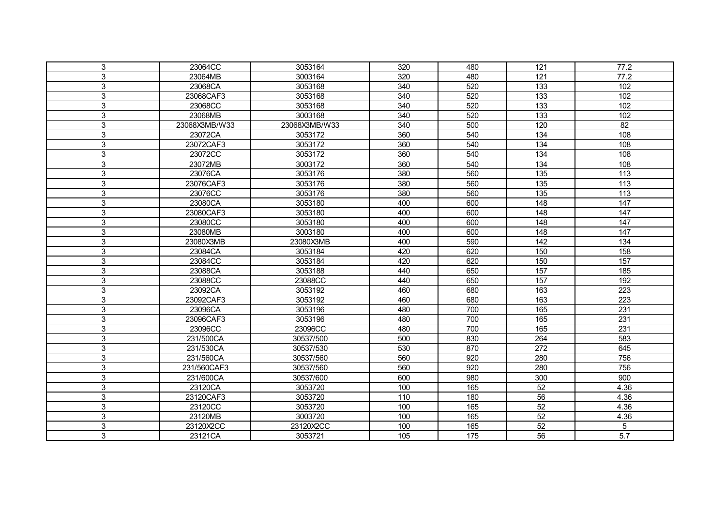| 3              | 23064CC       | 3053164       | 320 | 480 | 121              | 77.2             |
|----------------|---------------|---------------|-----|-----|------------------|------------------|
| 3              | 23064MB       | 3003164       | 320 | 480 | 121              | 77.2             |
| 3              | 23068CA       | 3053168       | 340 | 520 | $\overline{133}$ | 102              |
| 3              | 23068CAF3     | 3053168       | 340 | 520 | 133              | 102              |
| 3              | 23068CC       | 3053168       | 340 | 520 | 133              | 102              |
| 3              | 23068MB       | 3003168       | 340 | 520 | 133              | 102              |
| 3              | 23068X3MB/W33 | 23068X3MB/W33 | 340 | 500 | 120              | $\overline{82}$  |
| 3              | 23072CA       | 3053172       | 360 | 540 | 134              | 108              |
| 3              | 23072CAF3     | 3053172       | 360 | 540 | 134              | 108              |
| 3              | 23072CC       | 3053172       | 360 | 540 | 134              | 108              |
| $\mathfrak{S}$ | 23072MB       | 3003172       | 360 | 540 | 134              | 108              |
| 3              | 23076CA       | 3053176       | 380 | 560 | 135              | 113              |
| 3              | 23076CAF3     | 3053176       | 380 | 560 | 135              | $\frac{1}{13}$   |
| $\overline{3}$ | 23076CC       | 3053176       | 380 | 560 | 135              | 113              |
| 3              | 23080CA       | 3053180       | 400 | 600 | 148              | $\overline{147}$ |
| 3              | 23080CAF3     | 3053180       | 400 | 600 | 148              | 147              |
| 3              | 23080CC       | 3053180       | 400 | 600 | 148              | 147              |
| 3              | 23080MB       | 3003180       | 400 | 600 | 148              | 147              |
| 3              | 23080X3MB     | 23080X3MB     | 400 | 590 | 142              | $\overline{134}$ |
| 3              | 23084CA       | 3053184       | 420 | 620 | 150              | 158              |
| 3              | 23084CC       | 3053184       | 420 | 620 | 150              | 157              |
| $\mathfrak{S}$ | 23088CA       | 3053188       | 440 | 650 | 157              | 185              |
| 3              | 23088CC       | 23088CC       | 440 | 650 | 157              | 192              |
| 3              | 23092CA       | 3053192       | 460 | 680 | 163              | 223              |
| 3              | 23092CAF3     | 3053192       | 460 | 680 | 163              | 223              |
| 3              | 23096CA       | 3053196       | 480 | 700 | 165              | 231              |
| 3              | 23096CAF3     | 3053196       | 480 | 700 | 165              | $\overline{231}$ |
| 3              | 23096CC       | 23096CC       | 480 | 700 | 165              | $\overline{231}$ |
| 3              | 231/500CA     | 30537/500     | 500 | 830 | 264              | 583              |
| 3              | 231/530CA     | 30537/530     | 530 | 870 | 272              | 645              |
| 3              | 231/560CA     | 30537/560     | 560 | 920 | 280              | 756              |
| 3              | 231/560CAF3   | 30537/560     | 560 | 920 | 280              | 756              |
| 3              | 231/600CA     | 30537/600     | 600 | 980 | 300              | 900              |
| $\mathfrak{S}$ | 23120CA       | 3053720       | 100 | 165 | 52               | 4.36             |
| 3              | 23120CAF3     | 3053720       | 110 | 180 | 56               | 4.36             |
| 3              | 23120CC       | 3053720       | 100 | 165 | 52               | 4.36             |
| 3              | 23120MB       | 3003720       | 100 | 165 | 52               | 4.36             |
| 3              | 23120X2CC     | 23120X2CC     | 100 | 165 | 52               | 5                |
| 3              | 23121CA       | 3053721       | 105 | 175 | $\overline{56}$  | $\overline{5.7}$ |
|                |               |               |     |     |                  |                  |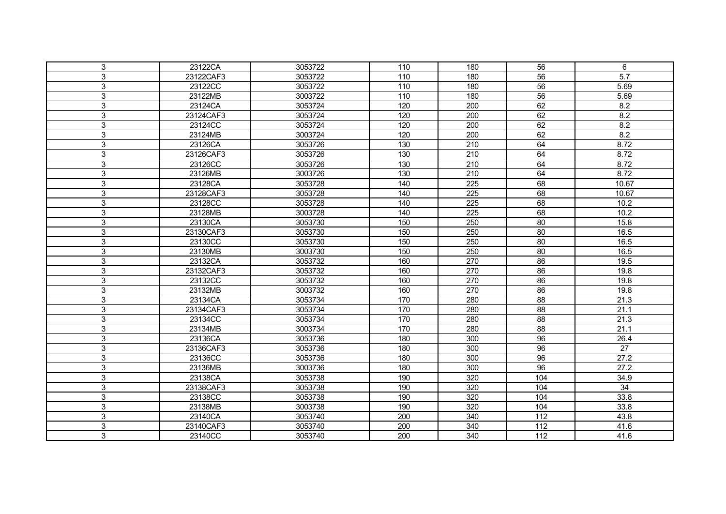| 3 | 23122CA   | 3053722 | 110 | 180              | 56              | 6                |
|---|-----------|---------|-----|------------------|-----------------|------------------|
| 3 | 23122CAF3 | 3053722 | 110 | 180              | 56              | $\overline{5.7}$ |
| 3 | 23122CC   | 3053722 | 110 | 180              | $\overline{56}$ | 5.69             |
| 3 | 23122MB   | 3003722 | 110 | 180              | $\overline{56}$ | 5.69             |
| 3 | 23124CA   | 3053724 | 120 | 200              | 62              | 8.2              |
| 3 | 23124CAF3 | 3053724 | 120 | 200              | 62              | 8.2              |
| 3 | 23124CC   | 3053724 | 120 | 200              | 62              | 8.2              |
| 3 | 23124MB   | 3003724 | 120 | 200              | 62              | 8.2              |
| 3 | 23126CA   | 3053726 | 130 | 210              | 64              | 8.72             |
| 3 | 23126CAF3 | 3053726 | 130 | 210              | 64              | 8.72             |
| 3 | 23126CC   | 3053726 | 130 | 210              | 64              | 8.72             |
| 3 | 23126MB   | 3003726 | 130 | 210              | 64              | 8.72             |
| 3 | 23128CA   | 3053728 | 140 | 225              | 68              | 10.67            |
| 3 | 23128CAF3 | 3053728 | 140 | $\overline{225}$ | 68              | 10.67            |
| 3 | 23128CC   | 3053728 | 140 | 225              | 68              | 10.2             |
| 3 | 23128MB   | 3003728 | 140 | 225              | 68              | 10.2             |
| 3 | 23130CA   | 3053730 | 150 | 250              | 80              | 15.8             |
| 3 | 23130CAF3 | 3053730 | 150 | 250              | 80              | 16.5             |
| 3 | 23130CC   | 3053730 | 150 | 250              | 80              | 16.5             |
| 3 | 23130MB   | 3003730 | 150 | 250              | 80              | 16.5             |
| 3 | 23132CA   | 3053732 | 160 | 270              | 86              | 19.5             |
| 3 | 23132CAF3 | 3053732 | 160 | 270              | 86              | 19.8             |
| 3 | 23132CC   | 3053732 | 160 | 270              | 86              | 19.8             |
| 3 | 23132MB   | 3003732 | 160 | 270              | 86              | 19.8             |
| 3 | 23134CA   | 3053734 | 170 | 280              | 88              | 21.3             |
| 3 | 23134CAF3 | 3053734 | 170 | 280              | $\overline{88}$ | 21.1             |
| 3 | 23134CC   | 3053734 | 170 | 280              | 88              | 21.3             |
| 3 | 23134MB   | 3003734 | 170 | 280              | 88              | 21.1             |
| 3 | 23136CA   | 3053736 | 180 | 300              | $\overline{96}$ | 26.4             |
| 3 | 23136CAF3 | 3053736 | 180 | 300              | 96              | $\overline{27}$  |
| 3 | 23136CC   | 3053736 | 180 | 300              | 96              | 27.2             |
| 3 | 23136MB   | 3003736 | 180 | 300              | 96              | 27.2             |
| 3 | 23138CA   | 3053738 | 190 | 320              | 104             | 34.9             |
| 3 | 23138CAF3 | 3053738 | 190 | 320              | 104             | $\overline{34}$  |
| 3 | 23138CC   | 3053738 | 190 | 320              | 104             | 33.8             |
| 3 | 23138MB   | 3003738 | 190 | 320              | 104             | 33.8             |
| 3 | 23140CA   | 3053740 | 200 | 340              | 112             | 43.8             |
| 3 | 23140CAF3 | 3053740 | 200 | 340              | 112             | 41.6             |
| 3 | 23140CC   | 3053740 |     | 340              | 112             | 41.6             |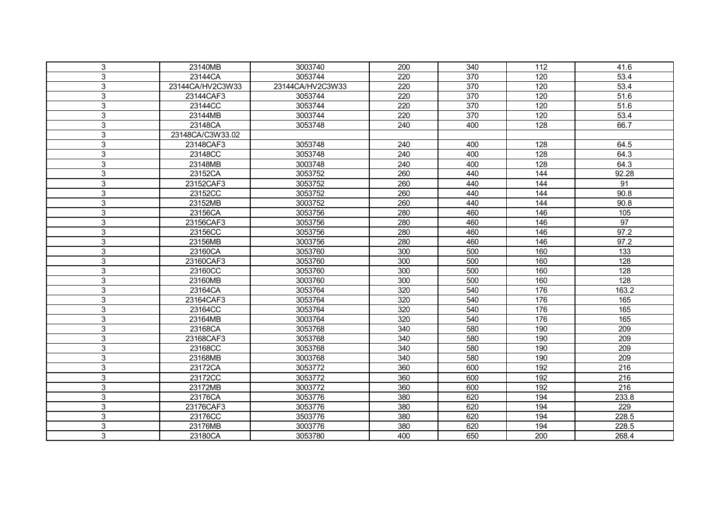| 3                         | 23140MB          | 3003740          | 200 | 340              | 112 | 41.6              |
|---------------------------|------------------|------------------|-----|------------------|-----|-------------------|
| 3                         | 23144CA          | 3053744          | 220 | 370              | 120 | 53.4              |
| 3                         | 23144CA/HV2C3W33 | 23144CA/HV2C3W33 | 220 | $\overline{370}$ | 120 | 53.4              |
| 3                         | 23144CAF3        | 3053744          | 220 | 370              | 120 | 51.6              |
| 3                         | 23144CC          | 3053744          | 220 | 370              | 120 | 51.6              |
| 3                         | 23144MB          | 3003744          | 220 | 370              | 120 | 53.4              |
| 3                         | 23148CA          | 3053748          | 240 | 400              | 128 | 66.7              |
| $\ensuremath{\mathsf{3}}$ | 23148CA/C3W33.02 |                  |     |                  |     |                   |
| 3                         | 23148CAF3        | 3053748          | 240 | 400              | 128 | 64.5              |
| $\mathbf{3}$              | 23148CC          | 3053748          | 240 | 400              | 128 | 64.3              |
| $\mathfrak{S}$            | 23148MB          | 3003748          | 240 | 400              | 128 | 64.3              |
| 3                         | 23152CA          | 3053752          | 260 | 440              | 144 | 92.28             |
| $\mathfrak{S}$            | 23152CAF3        | 3053752          | 260 | 440              | 144 | 91                |
| $\mathfrak{S}$            | 23152CC          | 3053752          | 260 | 440              | 144 | 90.8              |
| 3                         | 23152MB          | 3003752          | 260 | 440              | 144 | 90.8              |
| $\mathfrak{S}$            | 23156CA          | 3053756          | 280 | 460              | 146 | $\frac{105}{105}$ |
| 3                         | 23156CAF3        | 3053756          | 280 | 460              | 146 | $\overline{97}$   |
| 3                         | 23156CC          | 3053756          | 280 | 460              | 146 | 97.2              |
| $\mathfrak{S}$            | 23156MB          | 3003756          | 280 | 460              | 146 | 97.2              |
| 3                         | 23160CA          | 3053760          | 300 | 500              | 160 | 133               |
| $\mathbf{3}$              | 23160CAF3        | 3053760          | 300 | 500              | 160 | 128               |
| $\mathfrak{S}$            | 23160CC          | 3053760          | 300 | 500              | 160 | 128               |
| $\mathbf{3}$              | 23160MB          | 3003760          | 300 | 500              | 160 | 128               |
| $\mathfrak{S}$            | 23164CA          | 3053764          | 320 | 540              | 176 | 163.2             |
| 3                         | 23164CAF3        | 3053764          | 320 | 540              | 176 | 165               |
| 3                         | 23164CC          | 3053764          | 320 | 540              | 176 | 165               |
| $\mathbf{3}$              | 23164MB          | 3003764          | 320 | 540              | 176 | 165               |
| 3                         | 23168CA          | 3053768          | 340 | 580              | 190 | 209               |
| 3                         | 23168CAF3        | 3053768          | 340 | 580              | 190 | 209               |
| 3                         | 23168CC          | 3053768          | 340 | 580              | 190 | 209               |
| $\ensuremath{\mathsf{3}}$ | 23168MB          | 3003768          | 340 | 580              | 190 | 209               |
| $\mathbf{3}$              | 23172CA          | 3053772          | 360 | 600              | 192 | 216               |
| $\mathbf{3}$              | 23172CC          | 3053772          | 360 | 600              | 192 | $\overline{216}$  |
| $\mathsf 3$               | 23172MB          | 3003772          | 360 | 600              | 192 | $\overline{216}$  |
| 3                         | 23176CA          | 3053776          | 380 | 620              | 194 | 233.8             |
| $\mathfrak{S}$            | 23176CAF3        | 3053776          | 380 | 620              | 194 | 229               |
| $\overline{3}$            | 23176CC          | 3503776          | 380 | 620              | 194 | 228.5             |
| 3                         | 23176MB          | 3003776          | 380 | 620              | 194 | 228.5             |
| 3                         | 23180CA          | 3053780          | 400 | 650              | 200 | 268.4             |
|                           |                  |                  |     |                  |     |                   |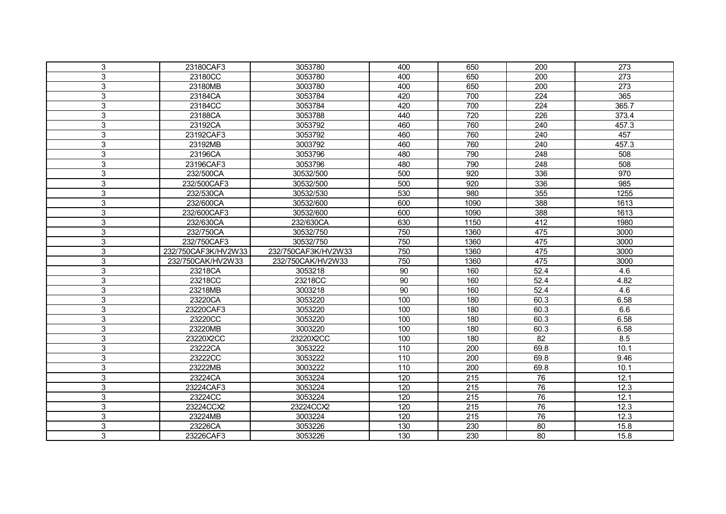| 3              | 23180CAF3           | 3053780             | 400 | 650  | 200             | 273              |
|----------------|---------------------|---------------------|-----|------|-----------------|------------------|
| 3              | 23180CC             | 3053780             | 400 | 650  | 200             | $\overline{273}$ |
| 3              | 23180MB             | 3003780             | 400 | 650  | 200             | $\overline{273}$ |
| 3              | 23184CA             | 3053784             | 420 | 700  | 224             | 365              |
| 3              | 23184CC             | 3053784             | 420 | 700  | 224             | 365.7            |
| 3              | 23188CA             | 3053788             | 440 | 720  | 226             | 373.4            |
| 3              | 23192CA             | 3053792             | 460 | 760  | 240             | 457.3            |
| $\mathfrak{S}$ | 23192CAF3           | 3053792             | 460 | 760  | 240             | 457              |
| 3              | 23192MB             | 3003792             | 460 | 760  | 240             | 457.3            |
| $\mathsf 3$    | 23196CA             | 3053796             | 480 | 790  | 248             | 508              |
| $\mathfrak{S}$ | 23196CAF3           | 3053796             | 480 | 790  | 248             | 508              |
| 3              | 232/500CA           | 30532/500           | 500 | 920  | 336             | 970              |
| $\mathfrak{S}$ | 232/500CAF3         | 30532/500           | 500 | 920  | 336             | 985              |
| 3              | 232/530CA           | 30532/530           | 530 | 980  | 355             | 1255             |
| 3              | 232/600CA           | 30532/600           | 600 | 1090 | 388             | 1613             |
| 3              | 232/600CAF3         | 30532/600           | 600 | 1090 | 388             | 1613             |
| 3              | 232/630CA           | 232/630CA           | 630 | 1150 | 412             | 1980             |
| 3              | 232/750CA           | 30532/750           | 750 | 1360 | 475             | 3000             |
| 3              | 232/750CAF3         | 30532/750           | 750 | 1360 | 475             | 3000             |
| 3              | 232/750CAF3K/HV2W33 | 232/750CAF3K/HV2W33 | 750 | 1360 | 475             | 3000             |
| $\mathbf{3}$   | 232/750CAK/HV2W33   | 232/750CAK/HV2W33   | 750 | 1360 | 475             | 3000             |
| $\mathfrak{S}$ | 23218CA             | 3053218             | 90  | 160  | 52.4            | 4.6              |
| $\mathfrak{S}$ | 23218CC             | 23218CC             | 90  | 160  | 52.4            | 4.82             |
| $\mathfrak{S}$ | 23218MB             | 3003218             | 90  | 160  | 52.4            | 4.6              |
| $\overline{3}$ | 23220CA             | 3053220             | 100 | 180  | 60.3            | 6.58             |
| 3              | 23220CAF3           | 3053220             | 100 | 180  | 60.3            | 6.6              |
| $\mathsf 3$    | 23220CC             | 3053220             | 100 | 180  | 60.3            | 6.58             |
| 3              | 23220MB             | 3003220             | 100 | 180  | 60.3            | 6.58             |
| 3              | 23220X2CC           | 23220X2CC           | 100 | 180  | 82              | 8.5              |
| 3              | 23222CA             | 3053222             | 110 | 200  | 69.8            | 10.1             |
| 3              | 23222CC             | 3053222             | 110 | 200  | 69.8            | 9.46             |
| $\mathbf{3}$   | 23222MB             | 3003222             | 110 | 200  | 69.8            | 10.1             |
| $\mathbf{3}$   | 23224CA             | 3053224             | 120 | 215  | 76              | 12.1             |
| $\mathfrak{S}$ | 23224CAF3           | 3053224             | 120 | 215  | 76              | 12.3             |
| $\mathfrak{S}$ | 23224CC             | 3053224             | 120 | 215  | $\overline{76}$ | 12.1             |
| 3              | 23224CCX2           | 23224CCX2           | 120 | 215  | 76              | 12.3             |
| 3              | 23224MB             | 3003224             | 120 | 215  | 76              | 12.3             |
| 3              | 23226CA             | 3053226             | 130 | 230  | 80              | 15.8             |
| 3              | 23226CAF3           | 3053226             | 130 | 230  | 80              | 15.8             |
|                |                     |                     |     |      |                 |                  |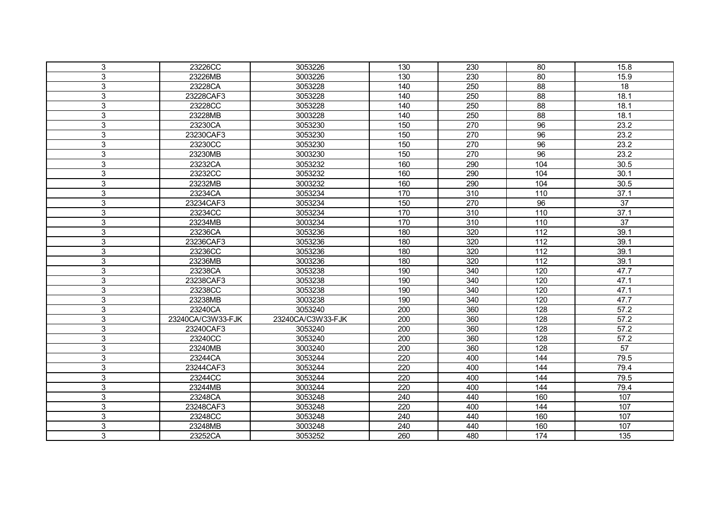| 3 | 23226CC           | 3053226           | 130              | 230              | 80              | 15.8              |
|---|-------------------|-------------------|------------------|------------------|-----------------|-------------------|
| 3 | 23226MB           | 3003226           | 130              | 230              | 80              | 15.9              |
| 3 | 23228CA           | 3053228           | 140              | 250              | $\overline{88}$ | $\overline{18}$   |
| 3 | 23228CAF3         | 3053228           | 140              | 250              | 88              | 18.1              |
| 3 | 23228CC           | 3053228           | 140              | 250              | 88              | 18.1              |
| 3 | 23228MB           | 3003228           | 140              | 250              | 88              | 18.1              |
| 3 | 23230CA           | 3053230           | 150              | 270              | 96              | 23.2              |
| 3 | 23230CAF3         | 3053230           | 150              | 270              | 96              | 23.2              |
| 3 | 23230CC           | 3053230           | 150              | 270              | 96              | 23.2              |
| 3 | 23230MB           | 3003230           | 150              | 270              | 96              | 23.2              |
| 3 | 23232CA           | 3053232           | 160              | 290              | 104             | 30.5              |
| 3 | 23232CC           | 3053232           | 160              | 290              | 104             | 30.1              |
| 3 | 23232MB           | 3003232           | 160              | 290              | 104             | 30.5              |
| 3 | 23234CA           | 3053234           | 170              | $\overline{310}$ | 110             | 37.1              |
| 3 | 23234CAF3         | 3053234           | 150              | 270              | 96              | $\overline{37}$   |
| 3 | 23234CC           | 3053234           | 170              | 310              | 110             | 37.1              |
| 3 | 23234MB           | 3003234           | 170              | 310              | 110             | $\overline{37}$   |
| 3 | 23236CA           | 3053236           | 180              | 320              | 112             | 39.1              |
| 3 | 23236CAF3         | 3053236           | 180              | 320              | 112             | 39.1              |
| 3 | 23236CC           | 3053236           | 180              | 320              | 112             | 39.1              |
| 3 | 23236MB           | 3003236           | 180              | 320              | 112             | 39.1              |
| 3 | 23238CA           | 3053238           | 190              | 340              | 120             | 47.7              |
| 3 | 23238CAF3         | 3053238           | 190              | 340              | 120             | 47.1              |
| 3 | 23238CC           | 3053238           | 190              | 340              | 120             | 47.1              |
| 3 | 23238MB           | 3003238           | 190              | 340              | 120             | 47.7              |
| 3 | 23240CA           | 3053240           | 200              | 360              | 128             | $\overline{57.2}$ |
| 3 | 23240CA/C3W33-FJK | 23240CA/C3W33-FJK | $\overline{200}$ | 360              | 128             | $\overline{57.2}$ |
| 3 | 23240CAF3         | 3053240           | 200              | 360              | 128             | 57.2              |
| 3 | 23240CC           | 3053240           | 200              | 360              | 128             | 57.2              |
| 3 | 23240MB           | 3003240           | 200              | 360              | 128             | $\overline{57}$   |
| 3 | 23244CA           | 3053244           | 220              | 400              | 144             | 79.5              |
| 3 | 23244CAF3         | 3053244           | 220              | 400              | 144             | 79.4              |
| 3 | 23244CC           | 3053244           | 220              | 400              | 144             | 79.5              |
| 3 | 23244MB           | 3003244           | 220              | 400              | 144             | 79.4              |
| 3 | 23248CA           | 3053248           | 240              | 440              | 160             | 107               |
| 3 | 23248CAF3         | 3053248           | 220              | 400              | 144             | 107               |
| 3 | 23248CC           | 3053248           | 240              | 440              | 160             | 107               |
| 3 | 23248MB           | 3003248           | 240              | 440              | 160             | 107               |
| 3 | 23252CA           | 3053252           | 260              | 480              | 174             | 135               |
|   |                   |                   |                  |                  |                 |                   |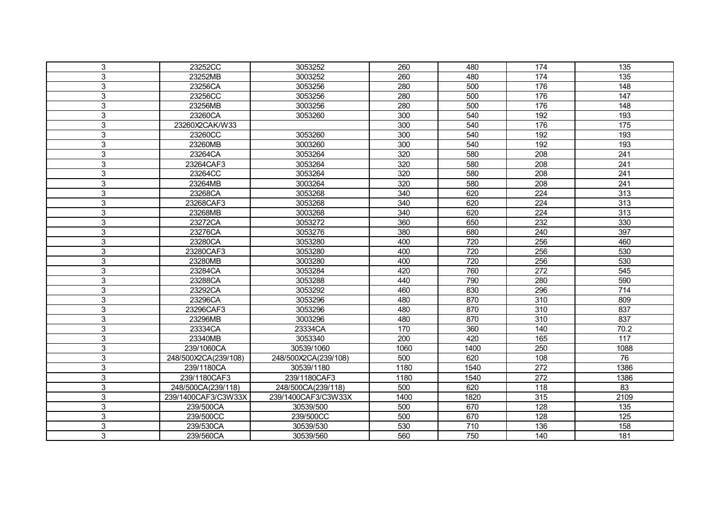| 3              | 23252CC              | 3053252              | 260  | 480  | 174              | 135              |
|----------------|----------------------|----------------------|------|------|------------------|------------------|
| 3              | 23252MB              | 3003252              | 260  | 480  | 174              | 135              |
| 3              | 23256CA              | 3053256              | 280  | 500  | 176              | $\overline{148}$ |
| 3              | 23256CC              | 3053256              | 280  | 500  | 176              | 147              |
| 3              | 23256MB              | 3003256              | 280  | 500  | 176              | 148              |
| 3              | 23260CA              | 3053260              | 300  | 540  | 192              | 193              |
| 3              | 23260X2CAK/W33       |                      | 300  | 540  | 176              | 175              |
| 3              | 23260CC              | 3053260              | 300  | 540  | 192              | 193              |
| 3              | 23260MB              | 3003260              | 300  | 540  | 192              | 193              |
| 3              | 23264CA              | 3053264              | 320  | 580  | 208              | 241              |
| 3              | 23264CAF3            | 3053264              | 320  | 580  | 208              | 241              |
| 3              | 23264CC              | 3053264              | 320  | 580  | 208              | 241              |
| 3              | 23264MB              | 3003264              | 320  | 580  | 208              | 241              |
| 3              | 23268CA              | 3053268              | 340  | 620  | 224              | 313              |
| 3              | 23268CAF3            | 3053268              | 340  | 620  | 224              | 313              |
| 3              | 23268MB              | 3003268              | 340  | 620  | 224              | 313              |
| 3              | 23272CA              | 3053272              | 360  | 650  | 232              | 330              |
| 3              | 23276CA              | 3053276              | 380  | 680  | 240              | 397              |
| 3              | 23280CA              | 3053280              | 400  | 720  | 256              | 460              |
| 3              | 23280CAF3            | 3053280              | 400  | 720  | 256              | 530              |
| 3              | 23280MB              | 3003280              | 400  | 720  | 256              | 530              |
| $\mathbf{3}$   | 23284CA              | 3053284              | 420  | 760  | 272              | 545              |
| $\mathfrak{S}$ | 23288CA              | 3053288              | 440  | 790  | 280              | 590              |
| 3              | 23292CA              | 3053292              | 460  | 830  | 296              | $\frac{1}{714}$  |
| 3              | 23296CA              | 3053296              | 480  | 870  | 310              | 809              |
| $\overline{3}$ | 23296CAF3            | 3053296              | 480  | 870  | $\overline{310}$ | 837              |
| 3              | 23296MB              | 3003296              | 480  | 870  | 310              | 837              |
| 3              | 23334CA              | 23334CA              | 170  | 360  | 140              | 70.2             |
| 3              | 23340MB              | 3053340              | 200  | 420  | 165              | $\overline{117}$ |
| 3              | 239/1060CA           | 30539/1060           | 1060 | 1400 | 250              | 1088             |
| 3              | 248/500X2CA(239/108) | 248/500X2CA(239/108) | 500  | 620  | 108              | 76               |
| 3              | 239/1180CA           | 30539/1180           | 1180 | 1540 | 272              | 1386             |
| 3              | 239/1180CAF3         | 239/1180CAF3         | 1180 | 1540 | 272              | 1386             |
| 3              | 248/500CA(239/118)   | 248/500CA(239/118)   | 500  | 620  | 118              | $\overline{83}$  |
| 3              | 239/1400CAF3/C3W33X  | 239/1400CAF3/C3W33X  | 1400 | 1820 | 315              | 2109             |
| 3              | 239/500CA            | 30539/500            | 500  | 670  | 128              | 135              |
| $\mathfrak{S}$ | 239/500CC            | 239/500CC            | 500  | 670  | 128              | 125              |
| 3              | 239/530CA            | 30539/530            | 530  | 710  | 136              | 158              |
|                |                      |                      |      |      |                  |                  |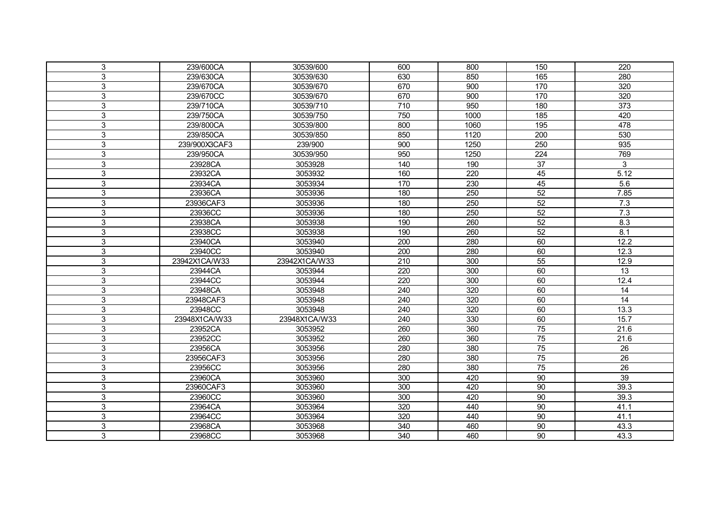| 3 | 239/600CA     | 30539/600          | 600 | 800  | 150             | 220              |
|---|---------------|--------------------|-----|------|-----------------|------------------|
| 3 | 239/630CA     | 30539/630          | 630 | 850  | 165             | 280              |
| 3 | 239/670CA     | 30539/670          | 670 | 900  | 170             | 320              |
| 3 | 239/670CC     | 30539/670          | 670 | 900  | 170             | 320              |
| 3 | 239/710CA     | 30539/710          | 710 | 950  | 180             | $\overline{373}$ |
| 3 | 239/750CA     | 30539/750          | 750 | 1000 | 185             | 420              |
| 3 | 239/800CA     | 30539/800          | 800 | 1060 | 195             | 478              |
| 3 | 239/850CA     | 30539/850          | 850 | 1120 | 200             | 530              |
| 3 | 239/900X3CAF3 | 239/900            | 900 | 1250 | 250             | 935              |
| 3 | 239/950CA     | 30539/950          | 950 | 1250 | 224             | 769              |
| 3 | 23928CA       | 3053928            | 140 | 190  | 37              | 3                |
| 3 | 23932CA       | 3053932            | 160 | 220  | 45              | 5.12             |
| 3 | 23934CA       | 3053934            | 170 | 230  | 45              | 5.6              |
| 3 | 23936CA       | 3053936            | 180 | 250  | 52              | 7.85             |
| 3 | 23936CAF3     | 3053936            | 180 | 250  | $\overline{52}$ | 7.3              |
| 3 | 23936CC       | 3053936            | 180 | 250  | $\overline{52}$ | 7.3              |
| 3 | 23938CA       | 3053938            | 190 | 260  | 52              | 8.3              |
| 3 | 23938CC       | 3053938            | 190 | 260  | 52              | 8.1              |
| 3 | 23940CA       | 3053940            | 200 | 280  | 60              | 12.2             |
| 3 | 23940CC       | 3053940            | 200 | 280  | 60              | 12.3             |
| 3 | 23942X1CA/W33 | 23942X1CA/W33      | 210 | 300  | 55              | 12.9             |
| 3 | 23944CA       | 3053944            | 220 | 300  | 60              | 13               |
| 3 | 23944CC       | 3053944            | 220 | 300  | 60              | 12.4             |
| 3 | 23948CA       | 3053948            | 240 | 320  | 60              | 14               |
| 3 | 23948CAF3     | 3053948            | 240 | 320  | 60              | $\overline{14}$  |
| 3 | 23948CC       | 3053948            | 240 | 320  | 60              | 13.3             |
| 3 | 23948X1CA/W33 | 23948X1CA/W33      | 240 | 330  | 60              | 15.7             |
| 3 | 23952CA       | 3053952            | 260 | 360  | $\overline{75}$ | 21.6             |
| 3 | 23952CC       | 3053952            | 260 | 360  | $\overline{75}$ | 21.6             |
| 3 | 23956CA       | 3053956            | 280 | 380  | 75              | 26               |
| 3 | 23956CAF3     | 3053956            | 280 | 380  | 75              | $\overline{26}$  |
| 3 | 23956CC       | 3053956            | 280 | 380  | 75              | $\overline{26}$  |
| 3 | 23960CA       | 3053960            | 300 | 420  | 90              | $\overline{39}$  |
| 3 | 23960CAF3     | 3053960            | 300 | 420  | 90              | 39.3             |
|   |               |                    |     |      |                 |                  |
| 3 | 23960CC       | 3053960            | 300 | 420  | 90              | 39.3             |
| 3 | 23964CA       | 3053964            | 320 | 440  | 90              | 41.1             |
| 3 | 23964CC       |                    | 320 | 440  | 90              | 41.1             |
| 3 | 23968CA       | 3053964<br>3053968 | 340 | 460  | $\overline{90}$ | 43.3             |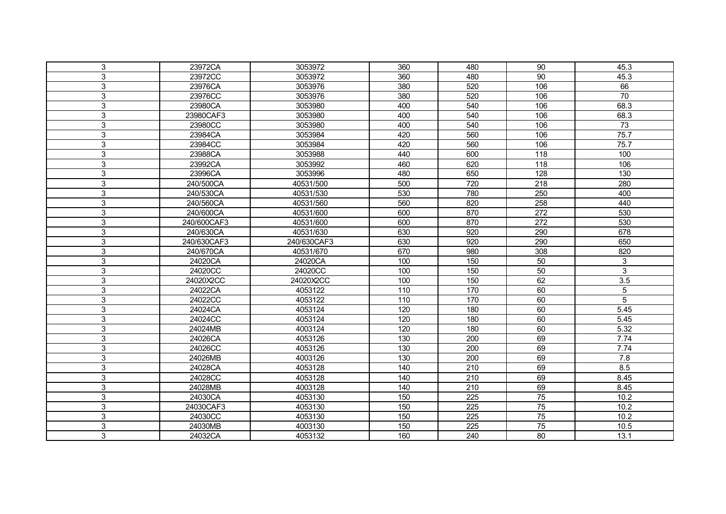| 3<br>23972CA<br>3053972<br>360<br>480<br>90<br>45.3<br>3<br>23972CC<br>3053972<br>360<br>90<br>45.3<br>480<br>380<br>106<br>66<br>3<br>23976CA<br>3053976<br>520<br>70<br>3<br>23976CC<br>380<br>520<br>106<br>3053976<br>68.3<br>3<br>23980CA<br>3053980<br>400<br>540<br>106<br>68.3<br>3<br>23980CAF3<br>3053980<br>400<br>540<br>106<br>3<br>540<br>73<br>23980CC<br>3053980<br>400<br>106<br>3<br>420<br>560<br>106<br>75.7<br>23984CA<br>3053984<br>3<br>23984CC<br>3053984<br>420<br>560<br>106<br>75.7<br>3<br>100<br>3053988<br>440<br>600<br>118<br>23988CA<br>3<br>106<br>460<br>620<br>118<br>23992CA<br>3053992<br>130<br>3<br>23996CA<br>3053996<br>480<br>650<br>128<br>3<br>280<br>720<br>218<br>240/500CA<br>40531/500<br>500<br>3<br>780<br>250<br>400<br>240/530CA<br>40531/530<br>530<br>258<br>440<br>3<br>240/560CA<br>40531/560<br>560<br>820<br>3<br>530<br>600<br>870<br>272<br>240/600CA<br>40531/600<br>$\overline{272}$<br>530<br>3<br>240/600CAF3<br>40531/600<br>600<br>870<br>3<br>240/630CA<br>40531/630<br>920<br>290<br>678<br>630<br>3<br>650<br>240/630CAF3<br>240/630CAF3<br>630<br>920<br>290<br>3<br>820<br>240/670CA<br>40531/670<br>670<br>980<br>308<br>3<br>24020CA<br>24020CA<br>100<br>150<br>50<br>3<br>3<br>3<br>100<br>50<br>24020CC<br>24020CC<br>150<br>3.5<br>3<br>150<br>62<br>24020X2CC<br>100<br>24020X2CC<br>3<br>24022CA<br>4053122<br>110<br>170<br>60<br>5<br>3<br>60<br>5<br>110<br>170<br>24022CC<br>4053122<br>$\overline{3}$<br>180<br>60<br>5.45<br>24024CA<br>4053124<br>120<br>60<br>3<br>24024CC<br>4053124<br>120<br>180<br>5.45<br>3<br>4003124<br>120<br>60<br>5.32<br>180<br>24024MB<br>7.74<br>3<br>4053126<br>130<br>$\overline{200}$<br>69<br>24026CA<br>7.74<br>3<br>24026CC<br>4053126<br>130<br>200<br>69<br>3<br>7.8<br>4003126<br>130<br>200<br>69<br>24026MB<br>8.5<br>3<br>4053128<br>140<br>210<br>69<br>24028CA<br>3<br>69<br>8.45<br>24028CC<br>4053128<br>140<br>210<br>3<br>8.45<br>140<br>69<br>24028MB<br>4003128<br>210<br>3<br>75<br>150<br>225<br>10.2<br>24030CA<br>4053130<br>75<br>10.2<br>3<br>150<br>24030CAF3<br>4053130<br>225<br>3<br>$\overline{75}$<br>150<br>225<br>10.2<br>24030CC<br>4053130<br>3<br>$\overline{75}$<br>24030MB<br>4003130<br>150<br>225<br>10.5<br>3<br>4053132<br>160<br>80<br>13.1<br>24032CA<br>240 |  |  |  |  |
|--------------------------------------------------------------------------------------------------------------------------------------------------------------------------------------------------------------------------------------------------------------------------------------------------------------------------------------------------------------------------------------------------------------------------------------------------------------------------------------------------------------------------------------------------------------------------------------------------------------------------------------------------------------------------------------------------------------------------------------------------------------------------------------------------------------------------------------------------------------------------------------------------------------------------------------------------------------------------------------------------------------------------------------------------------------------------------------------------------------------------------------------------------------------------------------------------------------------------------------------------------------------------------------------------------------------------------------------------------------------------------------------------------------------------------------------------------------------------------------------------------------------------------------------------------------------------------------------------------------------------------------------------------------------------------------------------------------------------------------------------------------------------------------------------------------------------------------------------------------------------------------------------------------------------------------------------------------------------------------------------------------------------------------------------------------------------------------------------------------------------------------------------------------------------------------------------------------------------------------------------------------------------------------------------------------------------------|--|--|--|--|
|                                                                                                                                                                                                                                                                                                                                                                                                                                                                                                                                                                                                                                                                                                                                                                                                                                                                                                                                                                                                                                                                                                                                                                                                                                                                                                                                                                                                                                                                                                                                                                                                                                                                                                                                                                                                                                                                                                                                                                                                                                                                                                                                                                                                                                                                                                                                |  |  |  |  |
|                                                                                                                                                                                                                                                                                                                                                                                                                                                                                                                                                                                                                                                                                                                                                                                                                                                                                                                                                                                                                                                                                                                                                                                                                                                                                                                                                                                                                                                                                                                                                                                                                                                                                                                                                                                                                                                                                                                                                                                                                                                                                                                                                                                                                                                                                                                                |  |  |  |  |
|                                                                                                                                                                                                                                                                                                                                                                                                                                                                                                                                                                                                                                                                                                                                                                                                                                                                                                                                                                                                                                                                                                                                                                                                                                                                                                                                                                                                                                                                                                                                                                                                                                                                                                                                                                                                                                                                                                                                                                                                                                                                                                                                                                                                                                                                                                                                |  |  |  |  |
|                                                                                                                                                                                                                                                                                                                                                                                                                                                                                                                                                                                                                                                                                                                                                                                                                                                                                                                                                                                                                                                                                                                                                                                                                                                                                                                                                                                                                                                                                                                                                                                                                                                                                                                                                                                                                                                                                                                                                                                                                                                                                                                                                                                                                                                                                                                                |  |  |  |  |
|                                                                                                                                                                                                                                                                                                                                                                                                                                                                                                                                                                                                                                                                                                                                                                                                                                                                                                                                                                                                                                                                                                                                                                                                                                                                                                                                                                                                                                                                                                                                                                                                                                                                                                                                                                                                                                                                                                                                                                                                                                                                                                                                                                                                                                                                                                                                |  |  |  |  |
|                                                                                                                                                                                                                                                                                                                                                                                                                                                                                                                                                                                                                                                                                                                                                                                                                                                                                                                                                                                                                                                                                                                                                                                                                                                                                                                                                                                                                                                                                                                                                                                                                                                                                                                                                                                                                                                                                                                                                                                                                                                                                                                                                                                                                                                                                                                                |  |  |  |  |
|                                                                                                                                                                                                                                                                                                                                                                                                                                                                                                                                                                                                                                                                                                                                                                                                                                                                                                                                                                                                                                                                                                                                                                                                                                                                                                                                                                                                                                                                                                                                                                                                                                                                                                                                                                                                                                                                                                                                                                                                                                                                                                                                                                                                                                                                                                                                |  |  |  |  |
|                                                                                                                                                                                                                                                                                                                                                                                                                                                                                                                                                                                                                                                                                                                                                                                                                                                                                                                                                                                                                                                                                                                                                                                                                                                                                                                                                                                                                                                                                                                                                                                                                                                                                                                                                                                                                                                                                                                                                                                                                                                                                                                                                                                                                                                                                                                                |  |  |  |  |
|                                                                                                                                                                                                                                                                                                                                                                                                                                                                                                                                                                                                                                                                                                                                                                                                                                                                                                                                                                                                                                                                                                                                                                                                                                                                                                                                                                                                                                                                                                                                                                                                                                                                                                                                                                                                                                                                                                                                                                                                                                                                                                                                                                                                                                                                                                                                |  |  |  |  |
|                                                                                                                                                                                                                                                                                                                                                                                                                                                                                                                                                                                                                                                                                                                                                                                                                                                                                                                                                                                                                                                                                                                                                                                                                                                                                                                                                                                                                                                                                                                                                                                                                                                                                                                                                                                                                                                                                                                                                                                                                                                                                                                                                                                                                                                                                                                                |  |  |  |  |
|                                                                                                                                                                                                                                                                                                                                                                                                                                                                                                                                                                                                                                                                                                                                                                                                                                                                                                                                                                                                                                                                                                                                                                                                                                                                                                                                                                                                                                                                                                                                                                                                                                                                                                                                                                                                                                                                                                                                                                                                                                                                                                                                                                                                                                                                                                                                |  |  |  |  |
|                                                                                                                                                                                                                                                                                                                                                                                                                                                                                                                                                                                                                                                                                                                                                                                                                                                                                                                                                                                                                                                                                                                                                                                                                                                                                                                                                                                                                                                                                                                                                                                                                                                                                                                                                                                                                                                                                                                                                                                                                                                                                                                                                                                                                                                                                                                                |  |  |  |  |
|                                                                                                                                                                                                                                                                                                                                                                                                                                                                                                                                                                                                                                                                                                                                                                                                                                                                                                                                                                                                                                                                                                                                                                                                                                                                                                                                                                                                                                                                                                                                                                                                                                                                                                                                                                                                                                                                                                                                                                                                                                                                                                                                                                                                                                                                                                                                |  |  |  |  |
|                                                                                                                                                                                                                                                                                                                                                                                                                                                                                                                                                                                                                                                                                                                                                                                                                                                                                                                                                                                                                                                                                                                                                                                                                                                                                                                                                                                                                                                                                                                                                                                                                                                                                                                                                                                                                                                                                                                                                                                                                                                                                                                                                                                                                                                                                                                                |  |  |  |  |
|                                                                                                                                                                                                                                                                                                                                                                                                                                                                                                                                                                                                                                                                                                                                                                                                                                                                                                                                                                                                                                                                                                                                                                                                                                                                                                                                                                                                                                                                                                                                                                                                                                                                                                                                                                                                                                                                                                                                                                                                                                                                                                                                                                                                                                                                                                                                |  |  |  |  |
|                                                                                                                                                                                                                                                                                                                                                                                                                                                                                                                                                                                                                                                                                                                                                                                                                                                                                                                                                                                                                                                                                                                                                                                                                                                                                                                                                                                                                                                                                                                                                                                                                                                                                                                                                                                                                                                                                                                                                                                                                                                                                                                                                                                                                                                                                                                                |  |  |  |  |
|                                                                                                                                                                                                                                                                                                                                                                                                                                                                                                                                                                                                                                                                                                                                                                                                                                                                                                                                                                                                                                                                                                                                                                                                                                                                                                                                                                                                                                                                                                                                                                                                                                                                                                                                                                                                                                                                                                                                                                                                                                                                                                                                                                                                                                                                                                                                |  |  |  |  |
|                                                                                                                                                                                                                                                                                                                                                                                                                                                                                                                                                                                                                                                                                                                                                                                                                                                                                                                                                                                                                                                                                                                                                                                                                                                                                                                                                                                                                                                                                                                                                                                                                                                                                                                                                                                                                                                                                                                                                                                                                                                                                                                                                                                                                                                                                                                                |  |  |  |  |
|                                                                                                                                                                                                                                                                                                                                                                                                                                                                                                                                                                                                                                                                                                                                                                                                                                                                                                                                                                                                                                                                                                                                                                                                                                                                                                                                                                                                                                                                                                                                                                                                                                                                                                                                                                                                                                                                                                                                                                                                                                                                                                                                                                                                                                                                                                                                |  |  |  |  |
|                                                                                                                                                                                                                                                                                                                                                                                                                                                                                                                                                                                                                                                                                                                                                                                                                                                                                                                                                                                                                                                                                                                                                                                                                                                                                                                                                                                                                                                                                                                                                                                                                                                                                                                                                                                                                                                                                                                                                                                                                                                                                                                                                                                                                                                                                                                                |  |  |  |  |
|                                                                                                                                                                                                                                                                                                                                                                                                                                                                                                                                                                                                                                                                                                                                                                                                                                                                                                                                                                                                                                                                                                                                                                                                                                                                                                                                                                                                                                                                                                                                                                                                                                                                                                                                                                                                                                                                                                                                                                                                                                                                                                                                                                                                                                                                                                                                |  |  |  |  |
|                                                                                                                                                                                                                                                                                                                                                                                                                                                                                                                                                                                                                                                                                                                                                                                                                                                                                                                                                                                                                                                                                                                                                                                                                                                                                                                                                                                                                                                                                                                                                                                                                                                                                                                                                                                                                                                                                                                                                                                                                                                                                                                                                                                                                                                                                                                                |  |  |  |  |
|                                                                                                                                                                                                                                                                                                                                                                                                                                                                                                                                                                                                                                                                                                                                                                                                                                                                                                                                                                                                                                                                                                                                                                                                                                                                                                                                                                                                                                                                                                                                                                                                                                                                                                                                                                                                                                                                                                                                                                                                                                                                                                                                                                                                                                                                                                                                |  |  |  |  |
|                                                                                                                                                                                                                                                                                                                                                                                                                                                                                                                                                                                                                                                                                                                                                                                                                                                                                                                                                                                                                                                                                                                                                                                                                                                                                                                                                                                                                                                                                                                                                                                                                                                                                                                                                                                                                                                                                                                                                                                                                                                                                                                                                                                                                                                                                                                                |  |  |  |  |
|                                                                                                                                                                                                                                                                                                                                                                                                                                                                                                                                                                                                                                                                                                                                                                                                                                                                                                                                                                                                                                                                                                                                                                                                                                                                                                                                                                                                                                                                                                                                                                                                                                                                                                                                                                                                                                                                                                                                                                                                                                                                                                                                                                                                                                                                                                                                |  |  |  |  |
|                                                                                                                                                                                                                                                                                                                                                                                                                                                                                                                                                                                                                                                                                                                                                                                                                                                                                                                                                                                                                                                                                                                                                                                                                                                                                                                                                                                                                                                                                                                                                                                                                                                                                                                                                                                                                                                                                                                                                                                                                                                                                                                                                                                                                                                                                                                                |  |  |  |  |
|                                                                                                                                                                                                                                                                                                                                                                                                                                                                                                                                                                                                                                                                                                                                                                                                                                                                                                                                                                                                                                                                                                                                                                                                                                                                                                                                                                                                                                                                                                                                                                                                                                                                                                                                                                                                                                                                                                                                                                                                                                                                                                                                                                                                                                                                                                                                |  |  |  |  |
|                                                                                                                                                                                                                                                                                                                                                                                                                                                                                                                                                                                                                                                                                                                                                                                                                                                                                                                                                                                                                                                                                                                                                                                                                                                                                                                                                                                                                                                                                                                                                                                                                                                                                                                                                                                                                                                                                                                                                                                                                                                                                                                                                                                                                                                                                                                                |  |  |  |  |
|                                                                                                                                                                                                                                                                                                                                                                                                                                                                                                                                                                                                                                                                                                                                                                                                                                                                                                                                                                                                                                                                                                                                                                                                                                                                                                                                                                                                                                                                                                                                                                                                                                                                                                                                                                                                                                                                                                                                                                                                                                                                                                                                                                                                                                                                                                                                |  |  |  |  |
|                                                                                                                                                                                                                                                                                                                                                                                                                                                                                                                                                                                                                                                                                                                                                                                                                                                                                                                                                                                                                                                                                                                                                                                                                                                                                                                                                                                                                                                                                                                                                                                                                                                                                                                                                                                                                                                                                                                                                                                                                                                                                                                                                                                                                                                                                                                                |  |  |  |  |
|                                                                                                                                                                                                                                                                                                                                                                                                                                                                                                                                                                                                                                                                                                                                                                                                                                                                                                                                                                                                                                                                                                                                                                                                                                                                                                                                                                                                                                                                                                                                                                                                                                                                                                                                                                                                                                                                                                                                                                                                                                                                                                                                                                                                                                                                                                                                |  |  |  |  |
|                                                                                                                                                                                                                                                                                                                                                                                                                                                                                                                                                                                                                                                                                                                                                                                                                                                                                                                                                                                                                                                                                                                                                                                                                                                                                                                                                                                                                                                                                                                                                                                                                                                                                                                                                                                                                                                                                                                                                                                                                                                                                                                                                                                                                                                                                                                                |  |  |  |  |
|                                                                                                                                                                                                                                                                                                                                                                                                                                                                                                                                                                                                                                                                                                                                                                                                                                                                                                                                                                                                                                                                                                                                                                                                                                                                                                                                                                                                                                                                                                                                                                                                                                                                                                                                                                                                                                                                                                                                                                                                                                                                                                                                                                                                                                                                                                                                |  |  |  |  |
|                                                                                                                                                                                                                                                                                                                                                                                                                                                                                                                                                                                                                                                                                                                                                                                                                                                                                                                                                                                                                                                                                                                                                                                                                                                                                                                                                                                                                                                                                                                                                                                                                                                                                                                                                                                                                                                                                                                                                                                                                                                                                                                                                                                                                                                                                                                                |  |  |  |  |
|                                                                                                                                                                                                                                                                                                                                                                                                                                                                                                                                                                                                                                                                                                                                                                                                                                                                                                                                                                                                                                                                                                                                                                                                                                                                                                                                                                                                                                                                                                                                                                                                                                                                                                                                                                                                                                                                                                                                                                                                                                                                                                                                                                                                                                                                                                                                |  |  |  |  |
|                                                                                                                                                                                                                                                                                                                                                                                                                                                                                                                                                                                                                                                                                                                                                                                                                                                                                                                                                                                                                                                                                                                                                                                                                                                                                                                                                                                                                                                                                                                                                                                                                                                                                                                                                                                                                                                                                                                                                                                                                                                                                                                                                                                                                                                                                                                                |  |  |  |  |
|                                                                                                                                                                                                                                                                                                                                                                                                                                                                                                                                                                                                                                                                                                                                                                                                                                                                                                                                                                                                                                                                                                                                                                                                                                                                                                                                                                                                                                                                                                                                                                                                                                                                                                                                                                                                                                                                                                                                                                                                                                                                                                                                                                                                                                                                                                                                |  |  |  |  |
|                                                                                                                                                                                                                                                                                                                                                                                                                                                                                                                                                                                                                                                                                                                                                                                                                                                                                                                                                                                                                                                                                                                                                                                                                                                                                                                                                                                                                                                                                                                                                                                                                                                                                                                                                                                                                                                                                                                                                                                                                                                                                                                                                                                                                                                                                                                                |  |  |  |  |
|                                                                                                                                                                                                                                                                                                                                                                                                                                                                                                                                                                                                                                                                                                                                                                                                                                                                                                                                                                                                                                                                                                                                                                                                                                                                                                                                                                                                                                                                                                                                                                                                                                                                                                                                                                                                                                                                                                                                                                                                                                                                                                                                                                                                                                                                                                                                |  |  |  |  |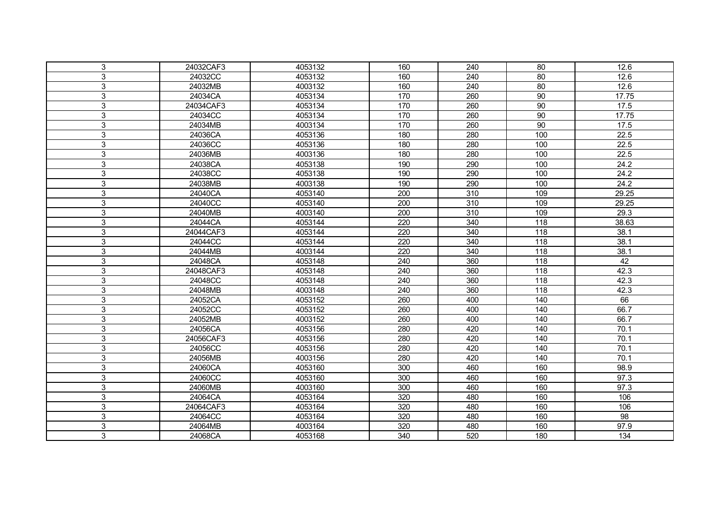| 3           | 24032CAF3 | 4053132 | 160              | 240              | 80  | 12.6            |
|-------------|-----------|---------|------------------|------------------|-----|-----------------|
| 3           | 24032CC   | 4053132 | 160              | 240              | 80  | 12.6            |
| 3           | 24032MB   | 4003132 | 160              | 240              | 80  | 12.6            |
| 3           | 24034CA   | 4053134 | 170              | 260              | 90  | 17.75           |
| 3           | 24034CAF3 | 4053134 | 170              | 260              | 90  | 17.5            |
| 3           | 24034CC   | 4053134 | 170              | 260              | 90  | 17.75           |
| 3           | 24034MB   | 4003134 | 170              | 260              | 90  | 17.5            |
| 3           | 24036CA   | 4053136 | 180              | 280              | 100 | 22.5            |
| 3           | 24036CC   | 4053136 | 180              | 280              | 100 | 22.5            |
| 3           | 24036MB   | 4003136 | 180              | 280              | 100 | 22.5            |
| 3           | 24038CA   | 4053138 | 190              | 290              | 100 | 24.2            |
| 3           | 24038CC   | 4053138 | 190              | 290              | 100 | 24.2            |
| 3           | 24038MB   | 4003138 | 190              | 290              | 100 | 24.2            |
| 3           | 24040CA   | 4053140 | $\overline{200}$ | $\overline{310}$ | 109 | 29.25           |
| 3           | 24040CC   | 4053140 | 200              | 310              | 109 | 29.25           |
| 3           | 24040MB   | 4003140 | 200              | 310              | 109 | 29.3            |
| 3           | 24044CA   | 4053144 | 220              | 340              | 118 | 38.63           |
| 3           | 24044CAF3 | 4053144 | 220              | 340              | 118 | 38.1            |
| 3           | 24044CC   | 4053144 | 220              | 340              | 118 | 38.1            |
| 3           | 24044MB   | 4003144 | 220              | 340              | 118 | 38.1            |
| $\mathsf 3$ | 24048CA   | 4053148 | 240              | 360              | 118 | 42              |
| 3           | 24048CAF3 | 4053148 | 240              | 360              | 118 | 42.3            |
| 3           | 24048CC   | 4053148 | 240              | 360              | 118 | 42.3            |
| 3           | 24048MB   | 4003148 | 240              | 360              | 118 | 42.3            |
| 3           | 24052CA   | 4053152 | 260              | 400              | 140 | 66              |
| 3           | 24052CC   | 4053152 | 260              | 400              | 140 | 66.7            |
| 3           | 24052MB   | 4003152 | 260              | 400              | 140 | 66.7            |
| 3           | 24056CA   | 4053156 | 280              | 420              | 140 | 70.1            |
| 3           | 24056CAF3 | 4053156 | 280              | 420              | 140 | 70.1            |
| 3           | 24056CC   | 4053156 | 280              | 420              | 140 | 70.1            |
| 3           | 24056MB   | 4003156 | 280              | 420              | 140 | 70.1            |
| 3           | 24060CA   | 4053160 | 300              | 460              | 160 | 98.9            |
| 3           | 24060CC   | 4053160 | 300              | 460              | 160 | 97.3            |
| 3           | 24060MB   | 4003160 | 300              | 460              | 160 | 97.3            |
| 3           | 24064CA   | 4053164 | 320              | 480              | 160 | 106             |
| 3           | 24064CAF3 | 4053164 | 320              | 480              | 160 | 106             |
| 3           | 24064CC   | 4053164 | 320              | 480              | 160 | $\overline{98}$ |
| 3           | 24064MB   | 4003164 | 320              | 480              | 160 | 97.9            |
| 3           | 24068CA   | 4053168 | 340              | 520              | 180 | 134             |
|             |           |         |                  |                  |     |                 |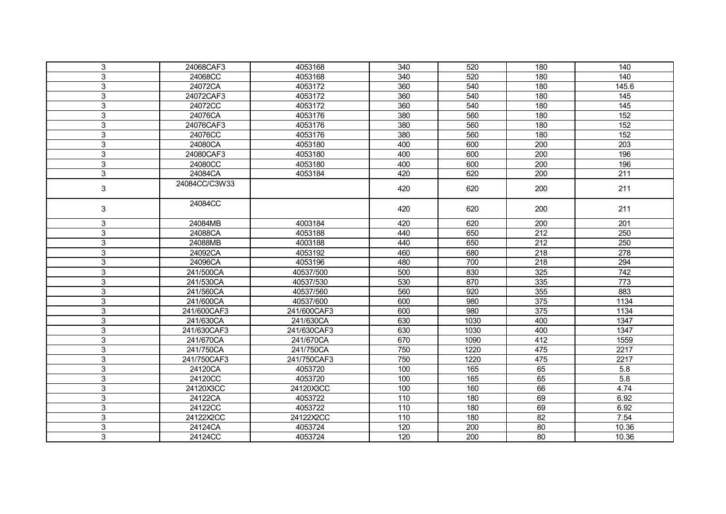| 3                         | 24068CAF3     | 4053168     | 340 | 520  | 180             | 140               |
|---------------------------|---------------|-------------|-----|------|-----------------|-------------------|
| $\mathfrak{S}$            | 24068CC       | 4053168     | 340 | 520  | 180             | 140               |
| 3                         | 24072CA       | 4053172     | 360 | 540  | 180             | 145.6             |
| 3                         | 24072CAF3     | 4053172     | 360 | 540  | 180             | $\frac{145}{145}$ |
| 3                         | 24072CC       | 4053172     | 360 | 540  | 180             | 145               |
| 3                         | 24076CA       | 4053176     | 380 | 560  | 180             | 152               |
| $\mathsf 3$               | 24076CAF3     | 4053176     | 380 | 560  | 180             | 152               |
| 3                         | 24076CC       | 4053176     | 380 | 560  | 180             | 152               |
| $\mathfrak{S}$            | 24080CA       | 4053180     | 400 | 600  | 200             | 203               |
| $\mathfrak{S}$            | 24080CAF3     | 4053180     | 400 | 600  | 200             | 196               |
| $\mathfrak{S}$            | 24080CC       | 4053180     | 400 | 600  | 200             | 196               |
| 3                         | 24084CA       | 4053184     | 420 | 620  | 200             | 211               |
| $\ensuremath{\mathsf{3}}$ | 24084CC/C3W33 |             | 420 | 620  | 200             | 211               |
| 3                         | 24084CC       |             | 420 | 620  | 200             | 211               |
| 3                         | 24084MB       | 4003184     | 420 | 620  | 200             | 201               |
| 3                         | 24088CA       | 4053188     | 440 | 650  | 212             | 250               |
| 3                         | 24088MB       | 4003188     | 440 | 650  | 212             | 250               |
| 3                         | 24092CA       | 4053192     | 460 | 680  | 218             | 278               |
| 3                         | 24096CA       | 4053196     | 480 | 700  | 218             | 294               |
| 3                         | 241/500CA     | 40537/500   | 500 | 830  | 325             | 742               |
| $\mathfrak{S}$            | 241/530CA     | 40537/530   | 530 | 870  | 335             | 773               |
| 3                         | 241/560CA     | 40537/560   | 560 | 920  | 355             | 883               |
| $\mathfrak{S}$            | 241/600CA     | 40537/600   | 600 | 980  | 375             | 1134              |
| $\mathsf 3$               | 241/600CAF3   | 241/600CAF3 | 600 | 980  | 375             | 1134              |
| 3                         | 241/630CA     | 241/630CA   | 630 | 1030 | 400             | 1347              |
| 3                         | 241/630CAF3   | 241/630CAF3 | 630 | 1030 | 400             | 1347              |
| 3                         | 241/670CA     | 241/670CA   | 670 | 1090 | 412             | 1559              |
| 3                         | 241/750CA     | 241/750CA   | 750 | 1220 | 475             | 2217              |
| $\mathsf 3$               | 241/750CAF3   | 241/750CAF3 | 750 | 1220 | 475             | 2217              |
| 3                         | 24120CA       | 4053720     | 100 | 165  | 65              | 5.8               |
| 3                         | 24120CC       | 4053720     | 100 | 165  | 65              | 5.8               |
| 3                         | 24120X3CC     | 24120X3CC   | 100 | 160  | 66              | 4.74              |
| $\mathfrak{S}$            | 24122CA       | 4053722     | 110 | 180  | 69              | 6.92              |
| $\mathfrak{S}$            | 24122CC       | 4053722     | 110 | 180  | 69              | 6.92              |
| $\mathfrak{S}$            | 24122X2CC     | 24122X2CC   | 110 | 180  | $\overline{82}$ | 7.54              |
| 3                         | 24124CA       | 4053724     | 120 | 200  | 80              | 10.36             |
| 3                         | 24124CC       | 4053724     | 120 | 200  | 80              | 10.36             |
|                           |               |             |     |      |                 |                   |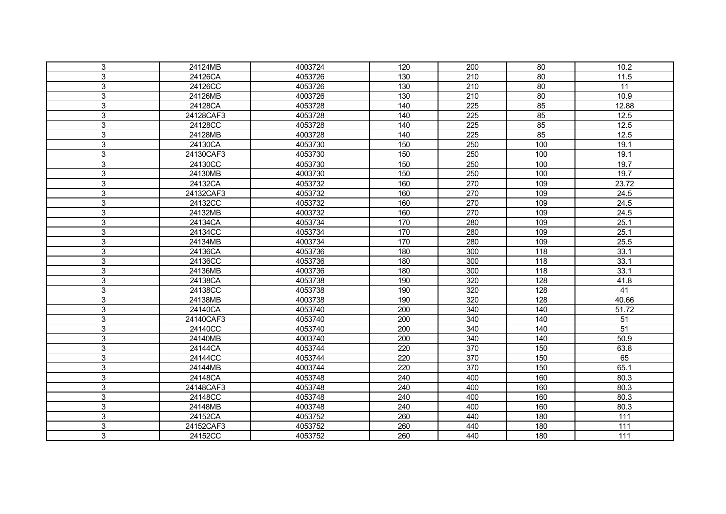| 3 | 24124MB   | 4003724 | 120              | 200              | 80  | 10.2              |
|---|-----------|---------|------------------|------------------|-----|-------------------|
| 3 | 24126CA   | 4053726 | 130              | 210              | 80  | 11.5              |
| 3 | 24126CC   | 4053726 | 130              | $\overline{210}$ | 80  | $\overline{11}$   |
| 3 | 24126MB   | 4003726 | 130              | 210              | 80  | 10.9              |
| 3 | 24128CA   | 4053728 | 140              | 225              | 85  | 12.88             |
| 3 | 24128CAF3 | 4053728 | 140              | 225              | 85  | 12.5              |
| 3 | 24128CC   | 4053728 | 140              | 225              | 85  | 12.5              |
| 3 | 24128MB   | 4003728 | 140              | 225              | 85  | 12.5              |
| 3 | 24130CA   | 4053730 | 150              | 250              | 100 | 19.1              |
| 3 | 24130CAF3 | 4053730 | 150              | 250              | 100 | 19.1              |
| 3 | 24130CC   | 4053730 | 150              | 250              | 100 | 19.7              |
| 3 | 24130MB   | 4003730 | 150              | 250              | 100 | 19.7              |
| 3 | 24132CA   | 4053732 | 160              | 270              | 109 | 23.72             |
| 3 | 24132CAF3 | 4053732 | 160              | 270              | 109 | 24.5              |
| 3 | 24132CC   | 4053732 | 160              | 270              | 109 | 24.5              |
| 3 | 24132MB   | 4003732 | 160              | 270              | 109 | 24.5              |
| 3 | 24134CA   | 4053734 | 170              | 280              | 109 | 25.1              |
| 3 | 24134CC   | 4053734 | 170              | 280              | 109 | 25.1              |
| 3 | 24134MB   | 4003734 | 170              | 280              | 109 | 25.5              |
| 3 | 24136CA   | 4053736 | 180              | 300              | 118 | 33.1              |
| 3 | 24136CC   | 4053736 | 180              | 300              | 118 | 33.1              |
| 3 | 24136MB   | 4003736 | 180              | 300              | 118 | 33.1              |
| 3 | 24138CA   | 4053738 | 190              | 320              | 128 | 41.8              |
| 3 | 24138CC   | 4053738 | 190              | 320              | 128 | 41                |
| 3 | 24138MB   | 4003738 | 190              | 320              | 128 | 40.66             |
| 3 | 24140CA   | 4053740 | 200              | 340              | 140 | 51.72             |
| 3 | 24140CAF3 | 4053740 | $\overline{200}$ | 340              | 140 | $\overline{51}$   |
| 3 | 24140CC   | 4053740 | 200              | 340              | 140 | 51                |
| 3 | 24140MB   | 4003740 | 200              | 340              | 140 | 50.9              |
| 3 | 24144CA   | 4053744 | 220              | 370              | 150 | 63.8              |
| 3 | 24144CC   | 4053744 | 220              | 370              | 150 | 65                |
| 3 | 24144MB   | 4003744 | 220              | 370              | 150 | 65.1              |
| 3 | 24148CA   | 4053748 | 240              | 400              | 160 | 80.3              |
| 3 | 24148CAF3 | 4053748 | 240              | 400              | 160 | 80.3              |
| 3 | 24148CC   | 4053748 | 240              | 400              | 160 | 80.3              |
| 3 | 24148MB   | 4003748 | 240              | 400              | 160 | 80.3              |
| 3 | 24152CA   | 4053752 | 260              | 440              | 180 | $\frac{111}{111}$ |
| 3 | 24152CAF3 | 4053752 | 260              | 440              | 180 | 111               |
| 3 | 24152CC   | 4053752 | 260              | 440              | 180 | $\frac{111}{111}$ |
|   |           |         |                  |                  |     |                   |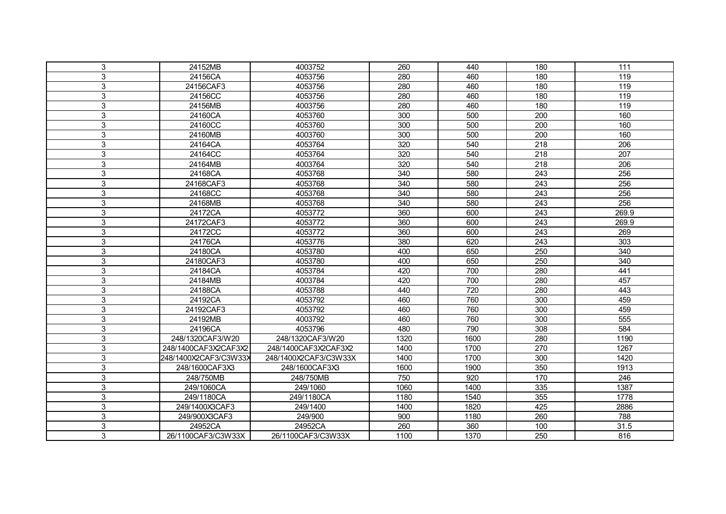| 3<br>24152MB<br>4003752<br>260<br>111<br>440<br>180<br>3<br>119<br>24156CA<br>4053756<br>280<br>460<br>180<br>119<br>3<br>24156CAF3<br>4053756<br>280<br>460<br>180<br>3<br>119<br>24156CC<br>4053756<br>280<br>460<br>180<br>119<br>3<br>4003756<br>460<br>24156MB<br>280<br>180<br>3<br>24160CA<br>4053760<br>500<br>160<br>300<br>200<br>3<br>160<br>24160CC<br>4053760<br>300<br>500<br>200<br>3<br>160<br>24160MB<br>4003760<br>300<br>500<br>200<br>3<br>320<br>206<br>24164CA<br>4053764<br>540<br>218<br>3<br>4053764<br>320<br>540<br>207<br>24164CC<br>218<br>3<br>$\overline{206}$<br>4003764<br>320<br>540<br>218<br>24164MB<br>256<br>3<br>4053768<br>340<br>580<br>243<br>24168CA<br>256<br>3<br>24168CAF3<br>4053768<br>340<br>580<br>243<br>256<br>3<br>580<br>24168CC<br>4053768<br>340<br>243<br>256<br>3<br>24168MB<br>4053768<br>340<br>580<br>243<br>3<br>24172CA<br>4053772<br>360<br>600<br>269.9<br>243<br>3<br>4053772<br>269.9<br>24172CAF3<br>360<br>600<br>243<br>3<br>24172CC<br>4053772<br>360<br>600<br>243<br>269<br>3<br>303<br>24176CA<br>4053776<br>380<br>620<br>243<br>3<br>650<br>340<br>24180CA<br>4053780<br>400<br>250<br>3<br>340<br>24180CAF3<br>4053780<br>400<br>650<br>250<br>3<br>700<br>280<br>441<br>4053784<br>420<br>24184CA<br>457<br>3<br>280<br>24184MB<br>4003784<br>420<br>700<br>3<br>4053788<br>720<br>280<br>443<br>24188CA<br>440<br>3<br>459<br>4053792<br>460<br>760<br>300<br>24192CA<br>459<br>3<br>24192CAF3<br>4053792<br>460<br>760<br>300<br>555<br>3<br>4003792<br>460<br>760<br>300<br>24192MB<br>3<br>4053796<br>790<br>308<br>584<br>24196CA<br>480<br>3<br>248/1320CAF3/W20<br>1320<br>1600<br>1190<br>248/1320CAF3/W20<br>280<br>3<br>1400<br>1700<br>1267<br>248/1400CAF3X2CAF3X2<br>248/1400CAF3X2CAF3X2<br>270<br>3<br>248/1400X2CAF3/C3W33X<br>248/1400X2CAF3/C3W33X<br>1400<br>1700<br>300<br>1420<br>3<br>248/1600CAF3X3<br>248/1600CAF3X3<br>1600<br>1900<br>350<br>1913<br>3<br>750<br>920<br>246<br>248/750MB<br>248/750MB<br>170<br>3<br>335<br>1387<br>249/1060<br>1060<br>1400<br>249/1060CA<br>3<br>355<br>1778<br>249/1180CA<br>1180<br>1540<br>249/1180CA<br>3<br>425<br>2886<br>249/1400X3CAF3<br>249/1400<br>1400<br>1820<br>3<br>900<br>788<br>249/900X3CAF3<br>249/900<br>1180<br>260<br>3<br>24952CA<br>24952CA<br>260<br>360<br>31.5<br>100<br>3<br>816<br>1100<br>1370 |                    |                    |  |     |  |
|------------------------------------------------------------------------------------------------------------------------------------------------------------------------------------------------------------------------------------------------------------------------------------------------------------------------------------------------------------------------------------------------------------------------------------------------------------------------------------------------------------------------------------------------------------------------------------------------------------------------------------------------------------------------------------------------------------------------------------------------------------------------------------------------------------------------------------------------------------------------------------------------------------------------------------------------------------------------------------------------------------------------------------------------------------------------------------------------------------------------------------------------------------------------------------------------------------------------------------------------------------------------------------------------------------------------------------------------------------------------------------------------------------------------------------------------------------------------------------------------------------------------------------------------------------------------------------------------------------------------------------------------------------------------------------------------------------------------------------------------------------------------------------------------------------------------------------------------------------------------------------------------------------------------------------------------------------------------------------------------------------------------------------------------------------------------------------------------------------------------------------------------------------------------------------------------------------------------------------------------------------------------------------------------------------------------------------------------------------------------|--------------------|--------------------|--|-----|--|
|                                                                                                                                                                                                                                                                                                                                                                                                                                                                                                                                                                                                                                                                                                                                                                                                                                                                                                                                                                                                                                                                                                                                                                                                                                                                                                                                                                                                                                                                                                                                                                                                                                                                                                                                                                                                                                                                                                                                                                                                                                                                                                                                                                                                                                                                                                                                                                        |                    |                    |  |     |  |
|                                                                                                                                                                                                                                                                                                                                                                                                                                                                                                                                                                                                                                                                                                                                                                                                                                                                                                                                                                                                                                                                                                                                                                                                                                                                                                                                                                                                                                                                                                                                                                                                                                                                                                                                                                                                                                                                                                                                                                                                                                                                                                                                                                                                                                                                                                                                                                        |                    |                    |  |     |  |
|                                                                                                                                                                                                                                                                                                                                                                                                                                                                                                                                                                                                                                                                                                                                                                                                                                                                                                                                                                                                                                                                                                                                                                                                                                                                                                                                                                                                                                                                                                                                                                                                                                                                                                                                                                                                                                                                                                                                                                                                                                                                                                                                                                                                                                                                                                                                                                        |                    |                    |  |     |  |
|                                                                                                                                                                                                                                                                                                                                                                                                                                                                                                                                                                                                                                                                                                                                                                                                                                                                                                                                                                                                                                                                                                                                                                                                                                                                                                                                                                                                                                                                                                                                                                                                                                                                                                                                                                                                                                                                                                                                                                                                                                                                                                                                                                                                                                                                                                                                                                        |                    |                    |  |     |  |
|                                                                                                                                                                                                                                                                                                                                                                                                                                                                                                                                                                                                                                                                                                                                                                                                                                                                                                                                                                                                                                                                                                                                                                                                                                                                                                                                                                                                                                                                                                                                                                                                                                                                                                                                                                                                                                                                                                                                                                                                                                                                                                                                                                                                                                                                                                                                                                        |                    |                    |  |     |  |
|                                                                                                                                                                                                                                                                                                                                                                                                                                                                                                                                                                                                                                                                                                                                                                                                                                                                                                                                                                                                                                                                                                                                                                                                                                                                                                                                                                                                                                                                                                                                                                                                                                                                                                                                                                                                                                                                                                                                                                                                                                                                                                                                                                                                                                                                                                                                                                        |                    |                    |  |     |  |
|                                                                                                                                                                                                                                                                                                                                                                                                                                                                                                                                                                                                                                                                                                                                                                                                                                                                                                                                                                                                                                                                                                                                                                                                                                                                                                                                                                                                                                                                                                                                                                                                                                                                                                                                                                                                                                                                                                                                                                                                                                                                                                                                                                                                                                                                                                                                                                        |                    |                    |  |     |  |
|                                                                                                                                                                                                                                                                                                                                                                                                                                                                                                                                                                                                                                                                                                                                                                                                                                                                                                                                                                                                                                                                                                                                                                                                                                                                                                                                                                                                                                                                                                                                                                                                                                                                                                                                                                                                                                                                                                                                                                                                                                                                                                                                                                                                                                                                                                                                                                        |                    |                    |  |     |  |
|                                                                                                                                                                                                                                                                                                                                                                                                                                                                                                                                                                                                                                                                                                                                                                                                                                                                                                                                                                                                                                                                                                                                                                                                                                                                                                                                                                                                                                                                                                                                                                                                                                                                                                                                                                                                                                                                                                                                                                                                                                                                                                                                                                                                                                                                                                                                                                        |                    |                    |  |     |  |
|                                                                                                                                                                                                                                                                                                                                                                                                                                                                                                                                                                                                                                                                                                                                                                                                                                                                                                                                                                                                                                                                                                                                                                                                                                                                                                                                                                                                                                                                                                                                                                                                                                                                                                                                                                                                                                                                                                                                                                                                                                                                                                                                                                                                                                                                                                                                                                        |                    |                    |  |     |  |
|                                                                                                                                                                                                                                                                                                                                                                                                                                                                                                                                                                                                                                                                                                                                                                                                                                                                                                                                                                                                                                                                                                                                                                                                                                                                                                                                                                                                                                                                                                                                                                                                                                                                                                                                                                                                                                                                                                                                                                                                                                                                                                                                                                                                                                                                                                                                                                        |                    |                    |  |     |  |
|                                                                                                                                                                                                                                                                                                                                                                                                                                                                                                                                                                                                                                                                                                                                                                                                                                                                                                                                                                                                                                                                                                                                                                                                                                                                                                                                                                                                                                                                                                                                                                                                                                                                                                                                                                                                                                                                                                                                                                                                                                                                                                                                                                                                                                                                                                                                                                        |                    |                    |  |     |  |
|                                                                                                                                                                                                                                                                                                                                                                                                                                                                                                                                                                                                                                                                                                                                                                                                                                                                                                                                                                                                                                                                                                                                                                                                                                                                                                                                                                                                                                                                                                                                                                                                                                                                                                                                                                                                                                                                                                                                                                                                                                                                                                                                                                                                                                                                                                                                                                        |                    |                    |  |     |  |
|                                                                                                                                                                                                                                                                                                                                                                                                                                                                                                                                                                                                                                                                                                                                                                                                                                                                                                                                                                                                                                                                                                                                                                                                                                                                                                                                                                                                                                                                                                                                                                                                                                                                                                                                                                                                                                                                                                                                                                                                                                                                                                                                                                                                                                                                                                                                                                        |                    |                    |  |     |  |
|                                                                                                                                                                                                                                                                                                                                                                                                                                                                                                                                                                                                                                                                                                                                                                                                                                                                                                                                                                                                                                                                                                                                                                                                                                                                                                                                                                                                                                                                                                                                                                                                                                                                                                                                                                                                                                                                                                                                                                                                                                                                                                                                                                                                                                                                                                                                                                        |                    |                    |  |     |  |
|                                                                                                                                                                                                                                                                                                                                                                                                                                                                                                                                                                                                                                                                                                                                                                                                                                                                                                                                                                                                                                                                                                                                                                                                                                                                                                                                                                                                                                                                                                                                                                                                                                                                                                                                                                                                                                                                                                                                                                                                                                                                                                                                                                                                                                                                                                                                                                        |                    |                    |  |     |  |
|                                                                                                                                                                                                                                                                                                                                                                                                                                                                                                                                                                                                                                                                                                                                                                                                                                                                                                                                                                                                                                                                                                                                                                                                                                                                                                                                                                                                                                                                                                                                                                                                                                                                                                                                                                                                                                                                                                                                                                                                                                                                                                                                                                                                                                                                                                                                                                        |                    |                    |  |     |  |
|                                                                                                                                                                                                                                                                                                                                                                                                                                                                                                                                                                                                                                                                                                                                                                                                                                                                                                                                                                                                                                                                                                                                                                                                                                                                                                                                                                                                                                                                                                                                                                                                                                                                                                                                                                                                                                                                                                                                                                                                                                                                                                                                                                                                                                                                                                                                                                        |                    |                    |  |     |  |
|                                                                                                                                                                                                                                                                                                                                                                                                                                                                                                                                                                                                                                                                                                                                                                                                                                                                                                                                                                                                                                                                                                                                                                                                                                                                                                                                                                                                                                                                                                                                                                                                                                                                                                                                                                                                                                                                                                                                                                                                                                                                                                                                                                                                                                                                                                                                                                        |                    |                    |  |     |  |
|                                                                                                                                                                                                                                                                                                                                                                                                                                                                                                                                                                                                                                                                                                                                                                                                                                                                                                                                                                                                                                                                                                                                                                                                                                                                                                                                                                                                                                                                                                                                                                                                                                                                                                                                                                                                                                                                                                                                                                                                                                                                                                                                                                                                                                                                                                                                                                        |                    |                    |  |     |  |
|                                                                                                                                                                                                                                                                                                                                                                                                                                                                                                                                                                                                                                                                                                                                                                                                                                                                                                                                                                                                                                                                                                                                                                                                                                                                                                                                                                                                                                                                                                                                                                                                                                                                                                                                                                                                                                                                                                                                                                                                                                                                                                                                                                                                                                                                                                                                                                        |                    |                    |  |     |  |
|                                                                                                                                                                                                                                                                                                                                                                                                                                                                                                                                                                                                                                                                                                                                                                                                                                                                                                                                                                                                                                                                                                                                                                                                                                                                                                                                                                                                                                                                                                                                                                                                                                                                                                                                                                                                                                                                                                                                                                                                                                                                                                                                                                                                                                                                                                                                                                        |                    |                    |  |     |  |
|                                                                                                                                                                                                                                                                                                                                                                                                                                                                                                                                                                                                                                                                                                                                                                                                                                                                                                                                                                                                                                                                                                                                                                                                                                                                                                                                                                                                                                                                                                                                                                                                                                                                                                                                                                                                                                                                                                                                                                                                                                                                                                                                                                                                                                                                                                                                                                        |                    |                    |  |     |  |
|                                                                                                                                                                                                                                                                                                                                                                                                                                                                                                                                                                                                                                                                                                                                                                                                                                                                                                                                                                                                                                                                                                                                                                                                                                                                                                                                                                                                                                                                                                                                                                                                                                                                                                                                                                                                                                                                                                                                                                                                                                                                                                                                                                                                                                                                                                                                                                        |                    |                    |  |     |  |
|                                                                                                                                                                                                                                                                                                                                                                                                                                                                                                                                                                                                                                                                                                                                                                                                                                                                                                                                                                                                                                                                                                                                                                                                                                                                                                                                                                                                                                                                                                                                                                                                                                                                                                                                                                                                                                                                                                                                                                                                                                                                                                                                                                                                                                                                                                                                                                        |                    |                    |  |     |  |
|                                                                                                                                                                                                                                                                                                                                                                                                                                                                                                                                                                                                                                                                                                                                                                                                                                                                                                                                                                                                                                                                                                                                                                                                                                                                                                                                                                                                                                                                                                                                                                                                                                                                                                                                                                                                                                                                                                                                                                                                                                                                                                                                                                                                                                                                                                                                                                        |                    |                    |  |     |  |
|                                                                                                                                                                                                                                                                                                                                                                                                                                                                                                                                                                                                                                                                                                                                                                                                                                                                                                                                                                                                                                                                                                                                                                                                                                                                                                                                                                                                                                                                                                                                                                                                                                                                                                                                                                                                                                                                                                                                                                                                                                                                                                                                                                                                                                                                                                                                                                        |                    |                    |  |     |  |
|                                                                                                                                                                                                                                                                                                                                                                                                                                                                                                                                                                                                                                                                                                                                                                                                                                                                                                                                                                                                                                                                                                                                                                                                                                                                                                                                                                                                                                                                                                                                                                                                                                                                                                                                                                                                                                                                                                                                                                                                                                                                                                                                                                                                                                                                                                                                                                        |                    |                    |  |     |  |
|                                                                                                                                                                                                                                                                                                                                                                                                                                                                                                                                                                                                                                                                                                                                                                                                                                                                                                                                                                                                                                                                                                                                                                                                                                                                                                                                                                                                                                                                                                                                                                                                                                                                                                                                                                                                                                                                                                                                                                                                                                                                                                                                                                                                                                                                                                                                                                        |                    |                    |  |     |  |
|                                                                                                                                                                                                                                                                                                                                                                                                                                                                                                                                                                                                                                                                                                                                                                                                                                                                                                                                                                                                                                                                                                                                                                                                                                                                                                                                                                                                                                                                                                                                                                                                                                                                                                                                                                                                                                                                                                                                                                                                                                                                                                                                                                                                                                                                                                                                                                        |                    |                    |  |     |  |
|                                                                                                                                                                                                                                                                                                                                                                                                                                                                                                                                                                                                                                                                                                                                                                                                                                                                                                                                                                                                                                                                                                                                                                                                                                                                                                                                                                                                                                                                                                                                                                                                                                                                                                                                                                                                                                                                                                                                                                                                                                                                                                                                                                                                                                                                                                                                                                        |                    |                    |  |     |  |
|                                                                                                                                                                                                                                                                                                                                                                                                                                                                                                                                                                                                                                                                                                                                                                                                                                                                                                                                                                                                                                                                                                                                                                                                                                                                                                                                                                                                                                                                                                                                                                                                                                                                                                                                                                                                                                                                                                                                                                                                                                                                                                                                                                                                                                                                                                                                                                        |                    |                    |  |     |  |
|                                                                                                                                                                                                                                                                                                                                                                                                                                                                                                                                                                                                                                                                                                                                                                                                                                                                                                                                                                                                                                                                                                                                                                                                                                                                                                                                                                                                                                                                                                                                                                                                                                                                                                                                                                                                                                                                                                                                                                                                                                                                                                                                                                                                                                                                                                                                                                        |                    |                    |  |     |  |
|                                                                                                                                                                                                                                                                                                                                                                                                                                                                                                                                                                                                                                                                                                                                                                                                                                                                                                                                                                                                                                                                                                                                                                                                                                                                                                                                                                                                                                                                                                                                                                                                                                                                                                                                                                                                                                                                                                                                                                                                                                                                                                                                                                                                                                                                                                                                                                        |                    |                    |  |     |  |
|                                                                                                                                                                                                                                                                                                                                                                                                                                                                                                                                                                                                                                                                                                                                                                                                                                                                                                                                                                                                                                                                                                                                                                                                                                                                                                                                                                                                                                                                                                                                                                                                                                                                                                                                                                                                                                                                                                                                                                                                                                                                                                                                                                                                                                                                                                                                                                        |                    |                    |  |     |  |
|                                                                                                                                                                                                                                                                                                                                                                                                                                                                                                                                                                                                                                                                                                                                                                                                                                                                                                                                                                                                                                                                                                                                                                                                                                                                                                                                                                                                                                                                                                                                                                                                                                                                                                                                                                                                                                                                                                                                                                                                                                                                                                                                                                                                                                                                                                                                                                        |                    |                    |  |     |  |
|                                                                                                                                                                                                                                                                                                                                                                                                                                                                                                                                                                                                                                                                                                                                                                                                                                                                                                                                                                                                                                                                                                                                                                                                                                                                                                                                                                                                                                                                                                                                                                                                                                                                                                                                                                                                                                                                                                                                                                                                                                                                                                                                                                                                                                                                                                                                                                        |                    |                    |  |     |  |
|                                                                                                                                                                                                                                                                                                                                                                                                                                                                                                                                                                                                                                                                                                                                                                                                                                                                                                                                                                                                                                                                                                                                                                                                                                                                                                                                                                                                                                                                                                                                                                                                                                                                                                                                                                                                                                                                                                                                                                                                                                                                                                                                                                                                                                                                                                                                                                        |                    |                    |  |     |  |
|                                                                                                                                                                                                                                                                                                                                                                                                                                                                                                                                                                                                                                                                                                                                                                                                                                                                                                                                                                                                                                                                                                                                                                                                                                                                                                                                                                                                                                                                                                                                                                                                                                                                                                                                                                                                                                                                                                                                                                                                                                                                                                                                                                                                                                                                                                                                                                        | 26/1100CAF3/C3W33X | 26/1100CAF3/C3W33X |  | 250 |  |